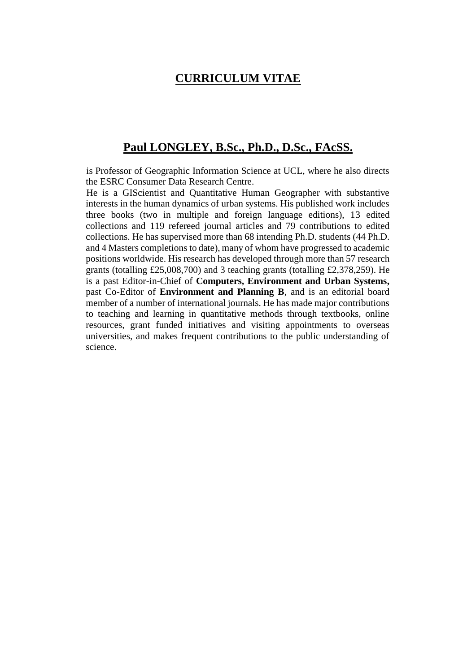# **CURRICULUM VITAE**

# **Paul LONGLEY, B.Sc., Ph.D., D.Sc., FAcSS.**

is Professor of Geographic Information Science at UCL, where he also directs the ESRC Consumer Data Research Centre.

He is a GIScientist and Quantitative Human Geographer with substantive interests in the human dynamics of urban systems. His published work includes three books (two in multiple and foreign language editions), 13 edited collections and 119 refereed journal articles and 79 contributions to edited collections. He has supervised more than 68 intending Ph.D. students (44 Ph.D. and 4 Masters completions to date), many of whom have progressed to academic positions worldwide. His research has developed through more than 57 research grants (totalling £25,008,700) and 3 teaching grants (totalling £2,378,259). He is a past Editor-in-Chief of **Computers, Environment and Urban Systems,**  past Co-Editor of **Environment and Planning B**, and is an editorial board member of a number of international journals. He has made major contributions to teaching and learning in quantitative methods through textbooks, online resources, grant funded initiatives and visiting appointments to overseas universities, and makes frequent contributions to the public understanding of science.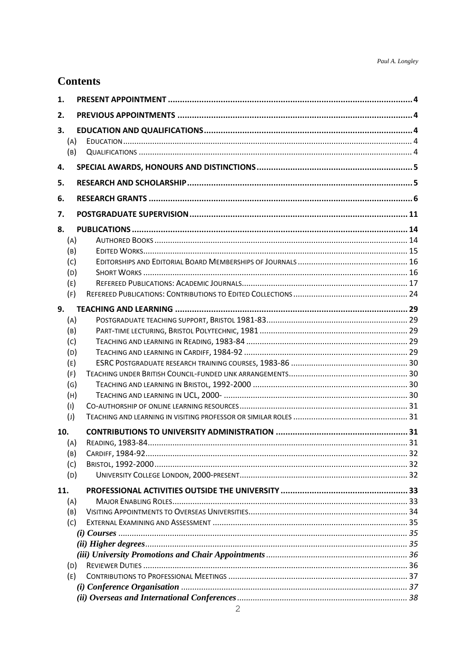# **Contents**

| 1.               |  |
|------------------|--|
| 2.               |  |
| 3.<br>(A)<br>(B) |  |
| 4.               |  |
| 5.               |  |
| 6.               |  |
| 7.               |  |
| 8.               |  |
| (A)              |  |
| (B)              |  |
| (C)              |  |
| (D)              |  |
| (E)              |  |
| (F)              |  |
| 9.               |  |
| (A)              |  |
| (B)              |  |
| (C)              |  |
| (D)              |  |
| (E)              |  |
| (F)              |  |
| (G)              |  |
| (H)              |  |
| (1)              |  |
| $(\cup)$         |  |
|                  |  |
| 10.<br>(A)       |  |
|                  |  |
| (B)              |  |
| (c)<br>(D)       |  |
| 11.              |  |
|                  |  |
| (A)              |  |
| (B)              |  |
| (c)              |  |
|                  |  |
|                  |  |
|                  |  |
| (D)<br>(E)       |  |
|                  |  |
|                  |  |
|                  |  |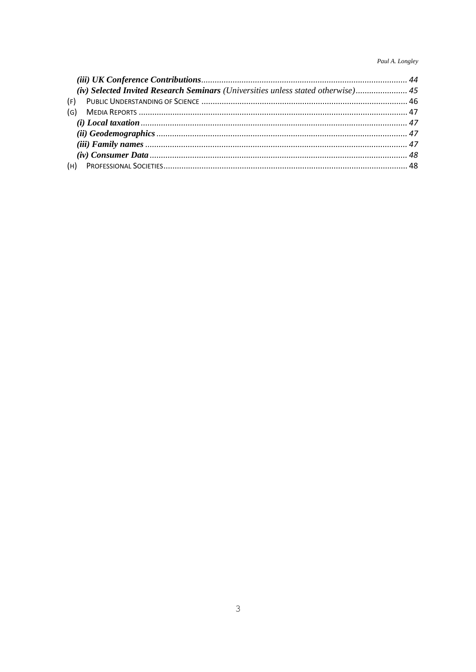Paul A. Longley

| (iv) Selected Invited Research Seminars (Universities unless stated otherwise) 45 |  |
|-----------------------------------------------------------------------------------|--|
|                                                                                   |  |
| (G)                                                                               |  |
|                                                                                   |  |
|                                                                                   |  |
|                                                                                   |  |
|                                                                                   |  |
|                                                                                   |  |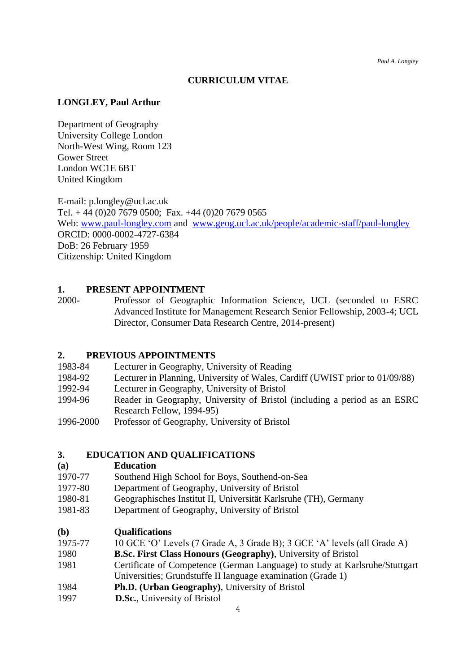*Paul A. Longley*

# **CURRICULUM VITAE**

# **LONGLEY, Paul Arthur**

Department of Geography University College London North-West Wing, Room 123 Gower Street London WC1E 6BT United Kingdom

E-mail: p.longley@ucl.ac.uk Tel. + 44 (0)20 7679 0500; Fax. +44 (0)20 7679 0565 Web: [www.paul-longley.com](http://www.paul-longley.com/) and [www.geog.ucl.ac.uk/people/academic-staff/paul-longley](http://www.geog.ucl.ac.uk/people/academic-staff/paul-longley) ORCID: 0000-0002-4727-6384 DoB: 26 February 1959 Citizenship: United Kingdom

# <span id="page-3-0"></span>**1. PRESENT APPOINTMENT**

2000- Professor of Geographic Information Science, UCL (seconded to ESRC Advanced Institute for Management Research Senior Fellowship, 2003-4; UCL Director, Consumer Data Research Centre, 2014-present)

# <span id="page-3-1"></span>**2. PREVIOUS APPOINTMENTS**

- 1983-84 Lecturer in Geography, University of Reading
- 1984-92 Lecturer in Planning, University of Wales, Cardiff (UWIST prior to 01/09/88)
- 1992-94 Lecturer in Geography, University of Bristol
- 1994-96 Reader in Geography, University of Bristol (including a period as an ESRC Research Fellow, 1994-95)
- 1996-2000 Professor of Geography, University of Bristol

# <span id="page-3-2"></span>**3. EDUCATION AND QUALIFICATIONS**

- <span id="page-3-3"></span>**(a) Education**
- 1970-77 Southend High School for Boys, Southend-on-Sea
- 1977-80 Department of Geography, University of Bristol
- 1980-81 Geographisches Institut II, Universität Karlsruhe (TH), Germany
- 1981-83 Department of Geography, University of Bristol

#### <span id="page-3-4"></span>**(b) Qualifications**

- 1975-77 10 GCE 'O' Levels (7 Grade A, 3 Grade B); 3 GCE 'A' levels (all Grade A)
- 1980 **B.Sc. First Class Honours (Geography)**, University of Bristol
- 1981 Certificate of Competence (German Language) to study at Karlsruhe/Stuttgart Universities; Grundstuffe II language examination (Grade 1)
- 1984 **Ph.D. (Urban Geography)**, University of Bristol
- 1997 **D.Sc.**, University of Bristol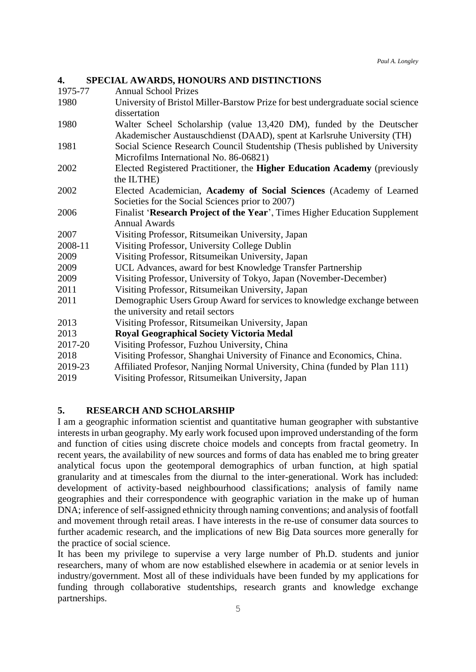# <span id="page-4-0"></span>**4. SPECIAL AWARDS, HONOURS AND DISTINCTIONS**

| 1975-77 | <b>Annual School Prizes</b>                                                      |
|---------|----------------------------------------------------------------------------------|
| 1980    | University of Bristol Miller-Barstow Prize for best undergraduate social science |
|         | dissertation                                                                     |
| 1980    | Walter Scheel Scholarship (value 13,420 DM), funded by the Deutscher             |
|         | Akademischer Austauschdienst (DAAD), spent at Karlsruhe University (TH)          |
| 1981    | Social Science Research Council Studentship (Thesis published by University      |
|         | Microfilms International No. 86-06821)                                           |
| 2002    | Elected Registered Practitioner, the Higher Education Academy (previously        |
|         | the ILTHE)                                                                       |
| 2002    | Elected Academician, Academy of Social Sciences (Academy of Learned              |
|         | Societies for the Social Sciences prior to 2007)                                 |
| 2006    | Finalist 'Research Project of the Year', Times Higher Education Supplement       |
|         | <b>Annual Awards</b>                                                             |
| 2007    | Visiting Professor, Ritsumeikan University, Japan                                |
| 2008-11 | Visiting Professor, University College Dublin                                    |
| 2009    | Visiting Professor, Ritsumeikan University, Japan                                |
| 2009    | UCL Advances, award for best Knowledge Transfer Partnership                      |
| 2009    | Visiting Professor, University of Tokyo, Japan (November-December)               |
| 2011    | Visiting Professor, Ritsumeikan University, Japan                                |
| 2011    | Demographic Users Group Award for services to knowledge exchange between         |
|         | the university and retail sectors                                                |
| 2013    | Visiting Professor, Ritsumeikan University, Japan                                |
| 2013    | <b>Royal Geographical Society Victoria Medal</b>                                 |
| 2017-20 | Visiting Professor, Fuzhou University, China                                     |
| 2018    | Visiting Professor, Shanghai University of Finance and Economics, China.         |
| 2019-23 | Affiliated Profesor, Nanjing Normal University, China (funded by Plan 111)       |
| 2019    | Visiting Professor, Ritsumeikan University, Japan                                |

<span id="page-4-1"></span>**5. RESEARCH AND SCHOLARSHIP**

I am a geographic information scientist and quantitative human geographer with substantive interests in urban geography. My early work focused upon improved understanding of the form and function of cities using discrete choice models and concepts from fractal geometry. In recent years, the availability of new sources and forms of data has enabled me to bring greater analytical focus upon the geotemporal demographics of urban function, at high spatial granularity and at timescales from the diurnal to the inter-generational. Work has included: development of activity-based neighbourhood classifications; analysis of family name geographies and their correspondence with geographic variation in the make up of human DNA; inference of self-assigned ethnicity through naming conventions; and analysis of footfall and movement through retail areas. I have interests in the re-use of consumer data sources to further academic research, and the implications of new Big Data sources more generally for the practice of social science.

It has been my privilege to supervise a very large number of Ph.D. students and junior researchers, many of whom are now established elsewhere in academia or at senior levels in industry/government. Most all of these individuals have been funded by my applications for funding through collaborative studentships, research grants and knowledge exchange partnerships.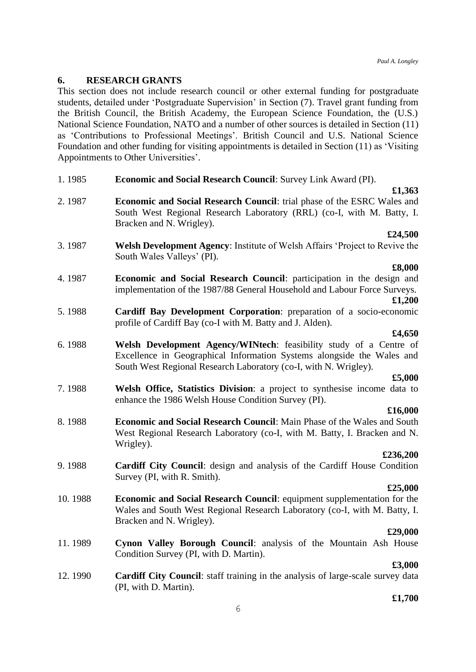# <span id="page-5-0"></span>**6. RESEARCH GRANTS**

This section does not include research council or other external funding for postgraduate students, detailed under 'Postgraduate Supervision' in Section (7). Travel grant funding from the British Council, the British Academy, the European Science Foundation, the (U.S.) National Science Foundation, NATO and a number of other sources is detailed in Section (11) as 'Contributions to Professional Meetings'. British Council and U.S. National Science Foundation and other funding for visiting appointments is detailed in Section (11) as 'Visiting Appointments to Other Universities'.

- 1. 1985 **Economic and Social Research Council**: Survey Link Award (PI).
- **£1,363**
- 2. 1987 **Economic and Social Research Council**: trial phase of the ESRC Wales and South West Regional Research Laboratory (RRL) (co-I, with M. Batty, I. Bracken and N. Wrigley).

#### **£24,500**

3. 1987 **Welsh Development Agency**: Institute of Welsh Affairs 'Project to Revive the South Wales Valleys' (PI).

#### **£8,000**

4. 1987 **Economic and Social Research Council**: participation in the design and implementation of the 1987/88 General Household and Labour Force Surveys.

**£1,200**

5. 1988 **Cardiff Bay Development Corporation**: preparation of a socio-economic profile of Cardiff Bay (co-I with M. Batty and J. Alden).

#### **£4,650**

6. 1988 **Welsh Development Agency/WINtech**: feasibility study of a Centre of Excellence in Geographical Information Systems alongside the Wales and South West Regional Research Laboratory (co-I, with N. Wrigley).

#### **£5,000**

7. 1988 **Welsh Office, Statistics Division**: a project to synthesise income data to enhance the 1986 Welsh House Condition Survey (PI).

#### **£16,000**

8. 1988 **Economic and Social Research Council**: Main Phase of the Wales and South West Regional Research Laboratory (co-I, with M. Batty, I. Bracken and N. Wrigley).

#### **£236,200**

9. 1988 **Cardiff City Council**: design and analysis of the Cardiff House Condition Survey (PI, with R. Smith).

#### **£25,000**

10. 1988 **Economic and Social Research Council**: equipment supplementation for the Wales and South West Regional Research Laboratory (co-I, with M. Batty, I. Bracken and N. Wrigley).

#### **£29,000**

11. 1989 **Cynon Valley Borough Council**: analysis of the Mountain Ash House Condition Survey (PI, with D. Martin).

# **£3,000**

12. 1990 **Cardiff City Council**: staff training in the analysis of large-scale survey data (PI, with D. Martin).

#### **£1,700**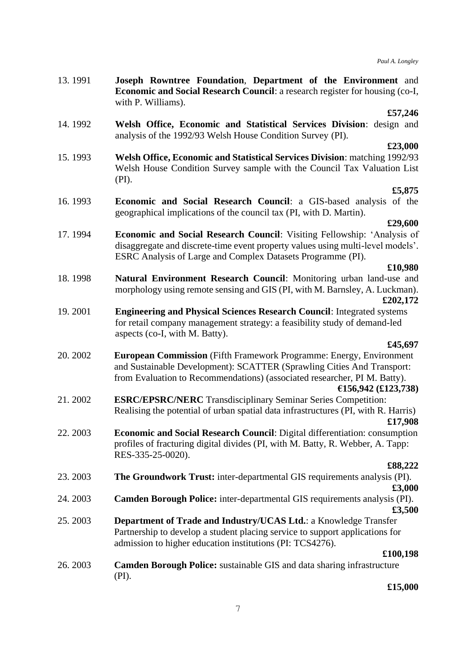13. 1991 **Joseph Rowntree Foundation**, **Department of the Environment** and **Economic and Social Research Council**: a research register for housing (co-I, with P. Williams).

#### **£57,246**

14. 1992 **Welsh Office, Economic and Statistical Services Division**: design and analysis of the 1992/93 Welsh House Condition Survey (PI).

# **£23,000**

15. 1993 **Welsh Office, Economic and Statistical Services Division**: matching 1992/93 Welsh House Condition Survey sample with the Council Tax Valuation List (PI).

# **£5,875**

**£29,600**

16. 1993 **Economic and Social Research Council**: a GIS-based analysis of the geographical implications of the council tax (PI, with D. Martin).

# 17. 1994 **Economic and Social Research Council**: Visiting Fellowship: 'Analysis of disaggregate and discrete-time event property values using multi-level models'. ESRC Analysis of Large and Complex Datasets Programme (PI).

# **£10,980**

- 18. 1998 **Natural Environment Research Council**: Monitoring urban land-use and morphology using remote sensing and GIS (PI, with M. Barnsley, A. Luckman). **£202,172**
- 19. 2001 **Engineering and Physical Sciences Research Council**: Integrated systems for retail company management strategy: a feasibility study of demand-led aspects (co-I, with M. Batty).

#### **£45,697**

20. 2002 **European Commission** (Fifth Framework Programme: Energy, Environment and Sustainable Development): SCATTER (Sprawling Cities And Transport: from Evaluation to Recommendations) (associated researcher, PI M. Batty).

#### **€156,942 (£123,738)**

- 21. 2002 **ESRC/EPSRC/NERC** Transdisciplinary Seminar Series Competition: Realising the potential of urban spatial data infrastructures (PI, with R. Harris) **£17,908**
- 22. 2003 **Economic and Social Research Council**: Digital differentiation: consumption profiles of fracturing digital divides (PI, with M. Batty, R. Webber, A. Tapp: RES-335-25-0020).

# **£88,222**

- 23. 2003 **The Groundwork Trust:** inter-departmental GIS requirements analysis (PI). **£3,000** 24. 2003 **Camden Borough Police:** inter-departmental GIS requirements analysis (PI). **£3,500**
- 25. 2003 **Department of Trade and Industry/UCAS Ltd.**: a Knowledge Transfer Partnership to develop a student placing service to support applications for admission to higher education institutions (PI: TCS4276).

#### **£100,198**

26. 2003 **Camden Borough Police:** sustainable GIS and data sharing infrastructure (PI).

#### **£15,000**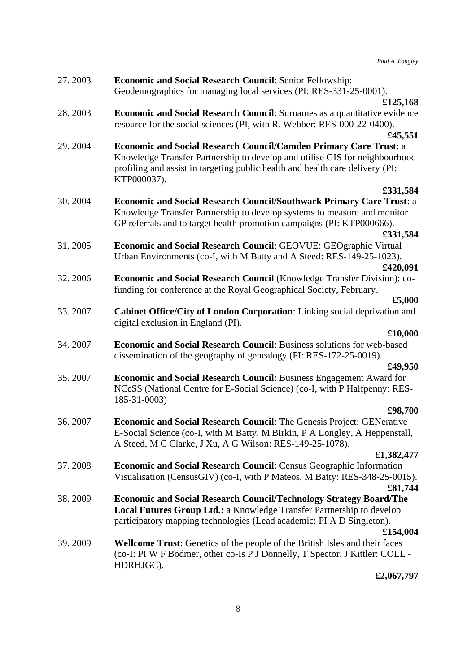*Paul A. Longley*

| 27.2003 | <b>Economic and Social Research Council: Senior Fellowship:</b><br>Geodemographics for managing local services (PI: RES-331-25-0001).                                                                                                              |
|---------|----------------------------------------------------------------------------------------------------------------------------------------------------------------------------------------------------------------------------------------------------|
| 28.2003 | £125,168<br>Economic and Social Research Council: Surnames as a quantitative evidence<br>resource for the social sciences (PI, with R. Webber: RES-000-22-0400).<br>£45,551                                                                        |
| 29.2004 | Economic and Social Research Council/Camden Primary Care Trust: a<br>Knowledge Transfer Partnership to develop and utilise GIS for neighbourhood<br>profiling and assist in targeting public health and health care delivery (PI:<br>KTP000037).   |
| 30.2004 | £331,584<br>Economic and Social Research Council/Southwark Primary Care Trust: a<br>Knowledge Transfer Partnership to develop systems to measure and monitor<br>GP referrals and to target health promotion campaigns (PI: KTP000666).<br>£331,584 |
| 31.2005 | Economic and Social Research Council: GEOVUE: GEOgraphic Virtual<br>Urban Environments (co-I, with M Batty and A Steed: RES-149-25-1023).<br>£420,091                                                                                              |
| 32.2006 | Economic and Social Research Council (Knowledge Transfer Division): co-<br>funding for conference at the Royal Geographical Society, February.<br>£5,000                                                                                           |
| 33.2007 | Cabinet Office/City of London Corporation: Linking social deprivation and<br>digital exclusion in England (PI).                                                                                                                                    |
| 34.2007 | £10,000<br><b>Economic and Social Research Council: Business solutions for web-based</b><br>dissemination of the geography of genealogy (PI: RES-172-25-0019).                                                                                     |
| 35.2007 | £49,950<br><b>Economic and Social Research Council: Business Engagement Award for</b><br>NCeSS (National Centre for E-Social Science) (co-I, with P Halfpenny: RES-<br>185-31-0003)                                                                |
| 36.2007 | £98,700<br><b>Economic and Social Research Council:</b> The Genesis Project: GENerative<br>E-Social Science (co-I, with M Batty, M Birkin, P A Longley, A Heppenstall,<br>A Steed, M C Clarke, J Xu, A G Wilson: RES-149-25-1078).                 |
| 37.2008 | £1,382,477<br><b>Economic and Social Research Council:</b> Census Geographic Information<br>Visualisation (CensusGIV) (co-I, with P Mateos, M Batty: RES-348-25-0015).                                                                             |
| 38.2009 | £81,744<br><b>Economic and Social Research Council/Technology Strategy Board/The</b><br><b>Local Futures Group Ltd.:</b> a Knowledge Transfer Partnership to develop<br>participatory mapping technologies (Lead academic: PI A D Singleton).      |
| 39.2009 | £154,004<br><b>Wellcome Trust:</b> Genetics of the people of the British Isles and their faces<br>(co-I: PI W F Bodmer, other co-Is P J Donnelly, T Spector, J Kittler: COLL -<br>HDRHJGC).                                                        |

**£2,067,797**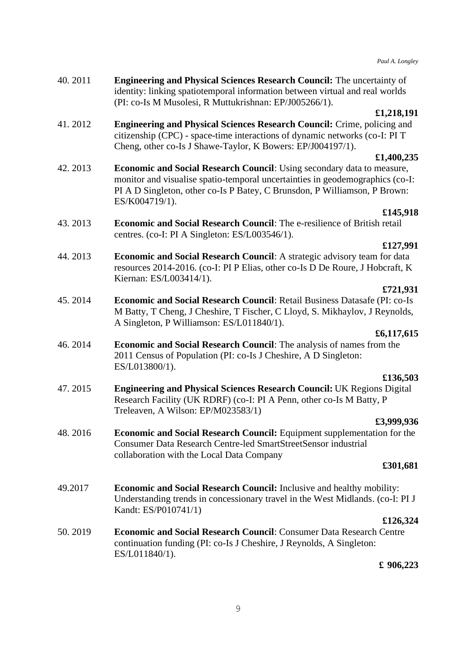| 40.2011 | <b>Engineering and Physical Sciences Research Council:</b> The uncertainty of<br>identity: linking spatiotemporal information between virtual and real worlds<br>(PI: co-Is M Musolesi, R Muttukrishnan: EP/J005266/1).                                |
|---------|--------------------------------------------------------------------------------------------------------------------------------------------------------------------------------------------------------------------------------------------------------|
|         | £1,218,191                                                                                                                                                                                                                                             |
| 41.2012 | Engineering and Physical Sciences Research Council: Crime, policing and<br>citizenship (CPC) - space-time interactions of dynamic networks (co-I: PI T<br>Cheng, other co-Is J Shawe-Taylor, K Bowers: EP/J004197/1).                                  |
|         | £1,400,235                                                                                                                                                                                                                                             |
| 42.2013 | Economic and Social Research Council: Using secondary data to measure,<br>monitor and visualise spatio-temporal uncertainties in geodemographics (co-I:<br>PI A D Singleton, other co-Is P Batey, C Brunsdon, P Williamson, P Brown:<br>ES/K004719/1). |
|         | £145,918                                                                                                                                                                                                                                               |
| 43.2013 | <b>Economic and Social Research Council:</b> The e-resilience of British retail<br>centres. (co-I: PI A Singleton: ES/L003546/1).                                                                                                                      |
|         | £127,991                                                                                                                                                                                                                                               |
| 44.2013 | Economic and Social Research Council: A strategic advisory team for data<br>resources 2014-2016. (co-I: PI P Elias, other co-Is D De Roure, J Hobcraft, K<br>Kiernan: ES/L003414/1).                                                                   |
|         | £721,931                                                                                                                                                                                                                                               |
| 45.2014 | <b>Economic and Social Research Council: Retail Business Datasafe (PI: co-Is</b><br>M Batty, T Cheng, J Cheshire, T Fischer, C Lloyd, S. Mikhaylov, J Reynolds,<br>A Singleton, P Williamson: ES/L011840/1).                                           |
|         | £6,117,615                                                                                                                                                                                                                                             |
| 46.2014 | <b>Economic and Social Research Council:</b> The analysis of names from the<br>2011 Census of Population (PI: co-Is J Cheshire, A D Singleton:<br>ES/L013800/1).                                                                                       |
|         | £136,503                                                                                                                                                                                                                                               |
| 47.2015 | <b>Engineering and Physical Sciences Research Council: UK Regions Digital</b><br>Research Facility (UK RDRF) (co-I: PI A Penn, other co-Is M Batty, P<br>Treleaven, A Wilson: EP/M023583/1)                                                            |
|         | £3,999,936                                                                                                                                                                                                                                             |
| 48.2016 | Economic and Social Research Council: Equipment supplementation for the<br>Consumer Data Research Centre-led SmartStreetSensor industrial<br>collaboration with the Local Data Company                                                                 |
|         | £301,681                                                                                                                                                                                                                                               |
|         |                                                                                                                                                                                                                                                        |
| 49.2017 | <b>Economic and Social Research Council:</b> Inclusive and healthy mobility:<br>Understanding trends in concessionary travel in the West Midlands. (co-I: PI J<br>Kandt: ES/P010741/1)                                                                 |
|         | £126,324                                                                                                                                                                                                                                               |
| 50.2019 | <b>Economic and Social Research Council: Consumer Data Research Centre</b><br>continuation funding (PI: co-Is J Cheshire, J Reynolds, A Singleton:<br>ES/L011840/1).                                                                                   |

**£ 906,223**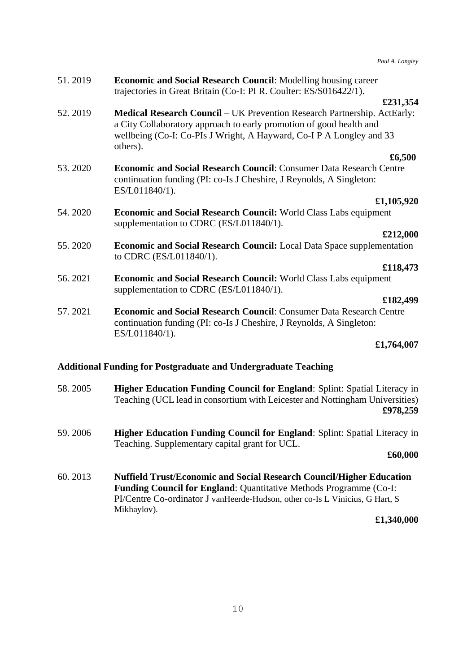*Paul A. Longley*

| 51.2019 | <b>Economic and Social Research Council:</b> Modelling housing career<br>trajectories in Great Britain (Co-I: PI R. Coulter: ES/S016422/1).                                                                                                |
|---------|--------------------------------------------------------------------------------------------------------------------------------------------------------------------------------------------------------------------------------------------|
|         | £231,354                                                                                                                                                                                                                                   |
| 52.2019 | <b>Medical Research Council</b> – UK Prevention Research Partnership. ActEarly:<br>a City Collaboratory approach to early promotion of good health and<br>wellbeing (Co-I: Co-PIs J Wright, A Hayward, Co-I P A Longley and 33<br>others). |
|         | £6,500                                                                                                                                                                                                                                     |
| 53.2020 | Economic and Social Research Council: Consumer Data Research Centre<br>continuation funding (PI: co-Is J Cheshire, J Reynolds, A Singleton:<br>ES/L011840/1).                                                                              |
|         | £1,105,920                                                                                                                                                                                                                                 |
| 54.2020 | <b>Economic and Social Research Council:</b> World Class Labs equipment<br>supplementation to CDRC (ES/L011840/1).                                                                                                                         |
|         | £212,000                                                                                                                                                                                                                                   |
| 55.2020 | <b>Economic and Social Research Council:</b> Local Data Space supplementation<br>to CDRC (ES/L011840/1).                                                                                                                                   |
|         | £118,473                                                                                                                                                                                                                                   |
| 56.2021 | Economic and Social Research Council: World Class Labs equipment<br>supplementation to CDRC (ES/L011840/1).                                                                                                                                |
|         | £182,499                                                                                                                                                                                                                                   |
| 57.2021 | <b>Economic and Social Research Council: Consumer Data Research Centre</b><br>continuation funding (PI: co-Is J Cheshire, J Reynolds, A Singleton:<br>ES/L011840/1).                                                                       |
|         | £1,764,007                                                                                                                                                                                                                                 |

# **Additional Funding for Postgraduate and Undergraduate Teaching**

| 58.2005 | <b>Higher Education Funding Council for England:</b> Splint: Spatial Literacy in<br>Teaching (UCL lead in consortium with Leicester and Nottingham Universities) |
|---------|------------------------------------------------------------------------------------------------------------------------------------------------------------------|
|         | £978,259                                                                                                                                                         |
| 59.2006 | <b>Higher Education Funding Council for England:</b> Splint: Spatial Literacy in<br>Teaching. Supplementary capital grant for UCL.                               |
|         | 0(0.000)                                                                                                                                                         |

#### **£60,000**

60. 2013 **Nuffield Trust/Economic and Social Research Council/Higher Education Funding Council for England**: Quantitative Methods Programme (Co-I: PI/Centre Co-ordinator J vanHeerde-Hudson, other co-Is L Vinicius, G Hart, S Mikhaylov).

**£1,340,000**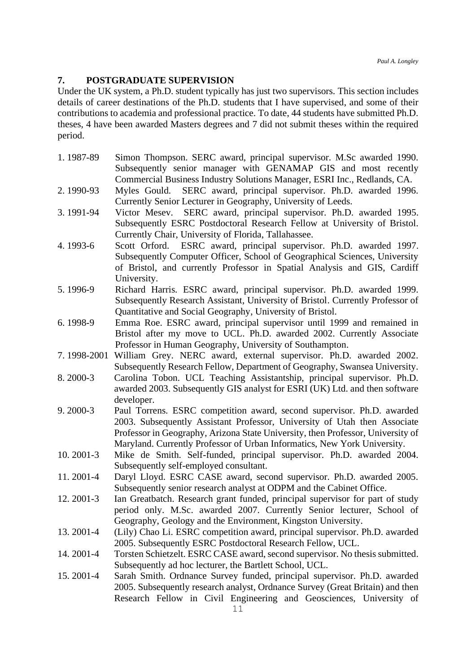# <span id="page-10-0"></span>**7. POSTGRADUATE SUPERVISION**

Under the UK system, a Ph.D. student typically has just two supervisors. This section includes details of career destinations of the Ph.D. students that I have supervised, and some of their contributions to academia and professional practice. To date, 44 students have submitted Ph.D. theses, 4 have been awarded Masters degrees and 7 did not submit theses within the required period.

- 1. 1987-89 Simon Thompson. SERC award, principal supervisor. M.Sc awarded 1990. Subsequently senior manager with GENAMAP GIS and most recently Commercial Business Industry Solutions Manager, ESRI Inc., Redlands, CA.
- 2. 1990-93 Myles Gould. SERC award, principal supervisor. Ph.D. awarded 1996. Currently Senior Lecturer in Geography, University of Leeds.
- 3. 1991-94 Victor Mesev. SERC award, principal supervisor. Ph.D. awarded 1995. Subsequently ESRC Postdoctoral Research Fellow at University of Bristol. Currently Chair, University of Florida, Tallahassee.
- 4. 1993-6 Scott Orford. ESRC award, principal supervisor. Ph.D. awarded 1997. Subsequently Computer Officer, School of Geographical Sciences, University of Bristol, and currently Professor in Spatial Analysis and GIS, Cardiff University.
- 5. 1996-9 Richard Harris. ESRC award, principal supervisor. Ph.D. awarded 1999. Subsequently Research Assistant, University of Bristol. Currently Professor of Quantitative and Social Geography, University of Bristol.
- 6. 1998-9 Emma Roe. ESRC award, principal supervisor until 1999 and remained in Bristol after my move to UCL. Ph.D. awarded 2002. Currently Associate Professor in Human Geography, University of Southampton.
- 7. 1998-2001 William Grey. NERC award, external supervisor. Ph.D. awarded 2002. Subsequently Research Fellow, Department of Geography, Swansea University.
- 8. 2000-3 Carolina Tobon. UCL Teaching Assistantship, principal supervisor. Ph.D. awarded 2003. Subsequently GIS analyst for ESRI (UK) Ltd. and then software developer.
- 9. 2000-3 Paul Torrens. ESRC competition award, second supervisor. Ph.D. awarded 2003. Subsequently Assistant Professor, University of Utah then Associate Professor in Geography, Arizona State University, then Professor, University of Maryland. Currently Professor of Urban Informatics, New York University.
- 10. 2001-3 Mike de Smith. Self-funded, principal supervisor. Ph.D. awarded 2004. Subsequently self-employed consultant.
- 11. 2001-4 Daryl Lloyd. ESRC CASE award, second supervisor. Ph.D. awarded 2005. Subsequently senior research analyst at ODPM and the Cabinet Office.
- 12. 2001-3 Ian Greatbatch. Research grant funded, principal supervisor for part of study period only. M.Sc. awarded 2007. Currently Senior lecturer, School of Geography, Geology and the Environment, Kingston University.
- 13. 2001-4 (Lily) Chao Li. ESRC competition award, principal supervisor. Ph.D. awarded 2005. Subsequently ESRC Postdoctoral Research Fellow, UCL.
- 14. 2001-4 Torsten Schietzelt. ESRC CASE award, second supervisor. No thesis submitted. Subsequently ad hoc lecturer, the Bartlett School, UCL.
- 15. 2001-4 Sarah Smith. Ordnance Survey funded, principal supervisor. Ph.D. awarded 2005. Subsequently research analyst, Ordnance Survey (Great Britain) and then Research Fellow in Civil Engineering and Geosciences, University of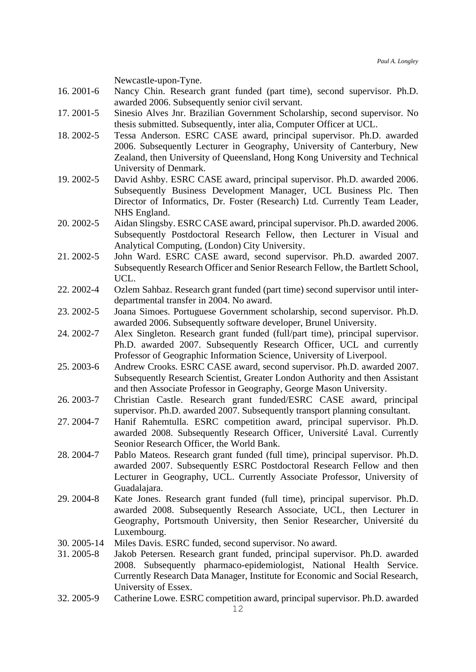Newcastle-upon-Tyne.

- 16. 2001-6 Nancy Chin. Research grant funded (part time), second supervisor. Ph.D. awarded 2006. Subsequently senior civil servant.
- 17. 2001-5 Sinesio Alves Jnr. Brazilian Government Scholarship, second supervisor. No thesis submitted. Subsequently, inter alia, Computer Officer at UCL.
- 18. 2002-5 Tessa Anderson. ESRC CASE award, principal supervisor. Ph.D. awarded 2006. Subsequently Lecturer in Geography, University of Canterbury, New Zealand, then University of Queensland, Hong Kong University and Technical University of Denmark.
- 19. 2002-5 David Ashby. ESRC CASE award, principal supervisor. Ph.D. awarded 2006. Subsequently Business Development Manager, UCL Business Plc. Then Director of Informatics, Dr. Foster (Research) Ltd. Currently Team Leader, NHS England.
- 20. 2002-5 Aidan Slingsby. ESRC CASE award, principal supervisor. Ph.D. awarded 2006. Subsequently Postdoctoral Research Fellow, then Lecturer in Visual and Analytical Computing, (London) City University.
- 21. 2002-5 John Ward. ESRC CASE award, second supervisor. Ph.D. awarded 2007. Subsequently Research Officer and Senior Research Fellow, the Bartlett School, UCL.
- 22. 2002-4 Ozlem Sahbaz. Research grant funded (part time) second supervisor until interdepartmental transfer in 2004. No award.
- 23. 2002-5 Joana Simoes. Portuguese Government scholarship, second supervisor. Ph.D. awarded 2006. Subsequently software developer, Brunel University.
- 24. 2002-7 Alex Singleton. Research grant funded (full/part time), principal supervisor. Ph.D. awarded 2007. Subsequently Research Officer, UCL and currently Professor of Geographic Information Science, University of Liverpool.
- 25. 2003-6 Andrew Crooks. ESRC CASE award, second supervisor. Ph.D. awarded 2007. Subsequently Research Scientist, Greater London Authority and then Assistant and then Associate Professor in Geography, George Mason University.
- 26. 2003-7 Christian Castle. Research grant funded/ESRC CASE award, principal supervisor. Ph.D. awarded 2007. Subsequently transport planning consultant.
- 27. 2004-7 Hanif Rahemtulla. ESRC competition award, principal supervisor. Ph.D. awarded 2008. Subsequently Research Officer, Université Laval. Currently Seonior Research Officer, the World Bank.
- 28. 2004-7 Pablo Mateos. Research grant funded (full time), principal supervisor. Ph.D. awarded 2007. Subsequently ESRC Postdoctoral Research Fellow and then Lecturer in Geography, UCL. Currently Associate Professor, University of Guadalajara.
- 29. 2004-8 Kate Jones. Research grant funded (full time), principal supervisor. Ph.D. awarded 2008. Subsequently Research Associate, UCL, then Lecturer in Geography, Portsmouth University, then Senior Researcher, Université du Luxembourg.
- 30. 2005-14 Miles Davis. ESRC funded, second supervisor. No award.
- 31. 2005-8 Jakob Petersen. Research grant funded, principal supervisor. Ph.D. awarded 2008. Subsequently pharmaco-epidemiologist, National Health Service. Currently Research Data Manager, Institute for Economic and Social Research, University of Essex.
- 32. 2005-9 Catherine Lowe. ESRC competition award, principal supervisor. Ph.D. awarded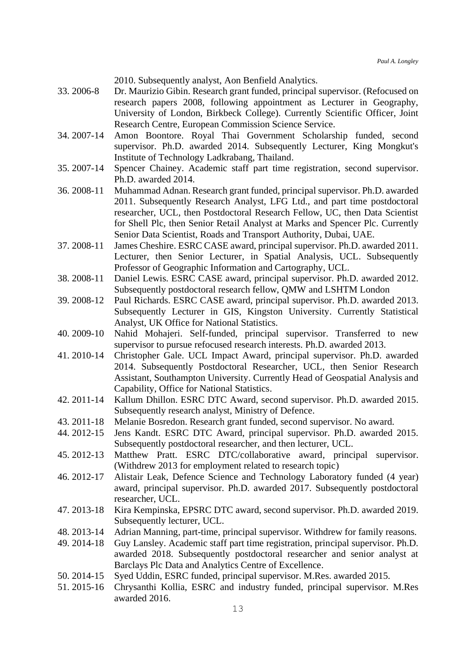2010. Subsequently analyst, Aon Benfield Analytics.

- 33. 2006-8 Dr. Maurizio Gibin. Research grant funded, principal supervisor. (Refocused on research papers 2008, following appointment as Lecturer in Geography, University of London, Birkbeck College). Currently Scientific Officer, Joint Research Centre, European Commission Science Service.
- 34. 2007-14 Amon Boontore. Royal Thai Government Scholarship funded, second supervisor. Ph.D. awarded 2014. Subsequently Lecturer, King Mongkut's Institute of Technology Ladkrabang, Thailand.
- 35. 2007-14 Spencer Chainey. Academic staff part time registration, second supervisor. Ph.D. awarded 2014.
- 36. 2008-11 Muhammad Adnan. Research grant funded, principal supervisor. Ph.D. awarded 2011. Subsequently Research Analyst, LFG Ltd., and part time postdoctoral researcher, UCL, then Postdoctoral Research Fellow, UC, then Data Scientist for Shell Plc, then Senior Retail Analyst at Marks and Spencer Plc. Currently Senior Data Scientist, Roads and Transport Authority, Dubai, UAE.
- 37. 2008-11 James Cheshire. ESRC CASE award, principal supervisor. Ph.D. awarded 2011. Lecturer, then Senior Lecturer, in Spatial Analysis, UCL. Subsequently Professor of Geographic Information and Cartography, UCL.
- 38. 2008-11 Daniel Lewis. ESRC CASE award, principal supervisor. Ph.D. awarded 2012. Subsequently postdoctoral research fellow, QMW and LSHTM London
- 39. 2008-12 Paul Richards. ESRC CASE award, principal supervisor. Ph.D. awarded 2013. Subsequently Lecturer in GIS, Kingston University. Currently Statistical Analyst, UK Office for National Statistics.
- 40. 2009-10 Nahid Mohajeri. Self-funded, principal supervisor. Transferred to new supervisor to pursue refocused research interests. Ph.D. awarded 2013.
- 41. 2010-14 Christopher Gale. UCL Impact Award, principal supervisor. Ph.D. awarded 2014. Subsequently Postdoctoral Researcher, UCL, then Senior Research Assistant, Southampton University. Currently Head of Geospatial Analysis and Capability, Office for National Statistics.
- 42. 2011-14 Kallum Dhillon. ESRC DTC Award, second supervisor. Ph.D. awarded 2015. Subsequently research analyst, Ministry of Defence.
- 43. 2011-18 Melanie Bosredon. Research grant funded, second supervisor. No award.
- 44. 2012-15 Jens Kandt. ESRC DTC Award, principal supervisor. Ph.D. awarded 2015. Subsequently postdoctoral researcher, and then lecturer, UCL.
- 45. 2012-13 Matthew Pratt. ESRC DTC/collaborative award, principal supervisor. (Withdrew 2013 for employment related to research topic)
- 46. 2012-17 Alistair Leak, Defence Science and Technology Laboratory funded (4 year) award, principal supervisor. Ph.D. awarded 2017. Subsequently postdoctoral researcher, UCL.
- 47. 2013-18 Kira Kempinska, EPSRC DTC award, second supervisor. Ph.D. awarded 2019. Subsequently lecturer, UCL.
- 48. 2013-14 Adrian Manning, part-time, principal supervisor. Withdrew for family reasons.
- 49. 2014-18 Guy Lansley. Academic staff part time registration, principal supervisor. Ph.D. awarded 2018. Subsequently postdoctoral researcher and senior analyst at Barclays Plc Data and Analytics Centre of Excellence.
- 50. 2014-15 Syed Uddin, ESRC funded, principal supervisor. M.Res. awarded 2015.
- 51. 2015-16 Chrysanthi Kollia, ESRC and industry funded, principal supervisor. M.Res awarded 2016.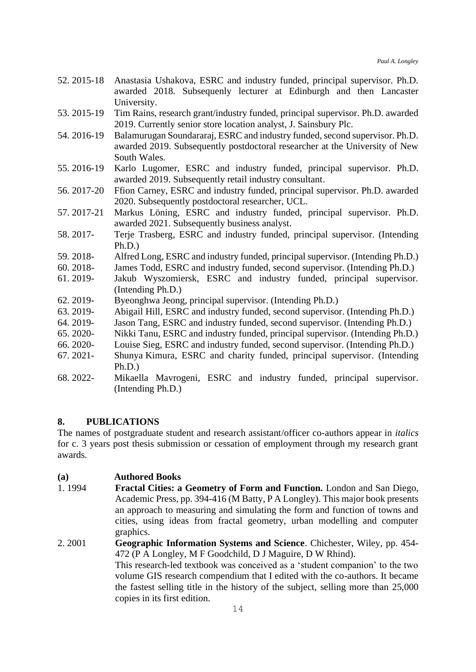- 52. 2015-18 Anastasia Ushakova, ESRC and industry funded, principal supervisor. Ph.D. awarded 2018. Subsequenly lecturer at Edinburgh and then Lancaster University.
- 53. 2015-19 Tim Rains, research grant/industry funded, principal supervisor. Ph.D. awarded 2019. Currently senior store location analyst, J. Sainsbury Plc.
- 54. 2016-19 Balamurugan Soundararaj, ESRC and industry funded, second supervisor. Ph.D. awarded 2019. Subsequently postdoctoral researcher at the University of New South Wales.
- 55. 2016-19 Karlo Lugomer, ESRC and industry funded, principal supervisor. Ph.D. awarded 2019. Subsequently retail industry consultant.
- 56. 2017-20 Ffion Carney, ESRC and industry funded, principal supervisor. Ph.D. awarded 2020. Subsequently postdoctoral researcher, UCL.
- 57. 2017-21 Markus Löning, ESRC and industry funded, principal supervisor. Ph.D. awarded 2021. Subsequently business analyst.
- 58. 2017- Terje Trasberg, ESRC and industry funded, principal supervisor. (Intending Ph.D.)
- 59. 2018- Alfred Long, ESRC and industry funded, principal supervisor. (Intending Ph.D.)
- 60. 2018- James Todd, ESRC and industry funded, second supervisor. (Intending Ph.D.)
- 61. 2019- Jakub Wyszomiersk, ESRC and industry funded, principal supervisor. (Intending Ph.D.)
- 62. 2019- Byeonghwa Jeong, principal supervisor. (Intending Ph.D.)
- 63. 2019- Abigail Hill, ESRC and industry funded, second supervisor. (Intending Ph.D.)
- 64. 2019- Jason Tang, ESRC and industry funded, second supervisor. (Intending Ph.D.)
- 65. 2020- Nikki Tanu, ESRC and industry funded, principal supervisor. (Intending Ph.D.)
- 66. 2020- Louise Sieg, ESRC and industry funded, second supervisor. (Intending Ph.D.)
- 67. 2021- Shunya Kimura, ESRC and charity funded, principal supervisor. (Intending Ph.D.)
- 68. 2022- Mikaella Mavrogeni, ESRC and industry funded, principal supervisor. (Intending Ph.D.)

#### <span id="page-13-0"></span>**8. PUBLICATIONS**

The names of postgraduate student and research assistant/officer co-authors appear in *italics* for c. 3 years post thesis submission or cessation of employment through my research grant awards.

#### <span id="page-13-1"></span>**(a) Authored Books**

copies in its first edition.

- 1. 1994 **Fractal Cities: a Geometry of Form and Function.** London and San Diego, Academic Press, pp. 394-416 (M Batty, P A Longley). This major book presents an approach to measuring and simulating the form and function of towns and cities, using ideas from fractal geometry, urban modelling and computer graphics.
- 2. 2001 **Geographic Information Systems and Science**. Chichester, Wiley, pp. 454- 472 (P A Longley, M F Goodchild, D J Maguire, D W Rhind). This research-led textbook was conceived as a 'student companion' to the two volume GIS research compendium that I edited with the co-authors. It became the fastest selling title in the history of the subject, selling more than 25,000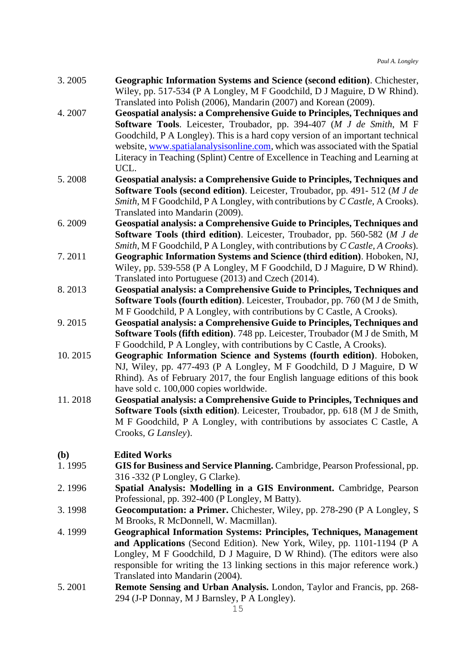| 3.2005  | Geographic Information Systems and Science (second edition). Chichester,                                                                                  |
|---------|-----------------------------------------------------------------------------------------------------------------------------------------------------------|
|         | Wiley, pp. 517-534 (P A Longley, M F Goodchild, D J Maguire, D W Rhind).                                                                                  |
|         | Translated into Polish (2006), Mandarin (2007) and Korean (2009).                                                                                         |
| 4.2007  | Geospatial analysis: a Comprehensive Guide to Principles, Techniques and                                                                                  |
|         | Software Tools. Leicester, Troubador, pp. 394-407 (M J de Smith, M F                                                                                      |
|         | Goodchild, P A Longley). This is a hard copy version of an important technical                                                                            |
|         | website, www.spatialanalysisonline.com, which was associated with the Spatial                                                                             |
|         | Literacy in Teaching (Splint) Centre of Excellence in Teaching and Learning at                                                                            |
|         | UCL.                                                                                                                                                      |
| 5.2008  | Geospatial analysis: a Comprehensive Guide to Principles, Techniques and                                                                                  |
|         | <b>Software Tools (second edition).</b> Leicester, Troubador, pp. 491-512 (M J de                                                                         |
|         | Smith, MF Goodchild, P A Longley, with contributions by C Castle, A Crooks).                                                                              |
|         | Translated into Mandarin (2009).                                                                                                                          |
| 6.2009  | Geospatial analysis: a Comprehensive Guide to Principles, Techniques and                                                                                  |
|         | <b>Software Tools (third edition).</b> Leicester, Troubador, pp. 560-582 (M J de                                                                          |
|         | Smith, MF Goodchild, P A Longley, with contributions by C Castle, A Crooks).                                                                              |
| 7.2011  | Geographic Information Systems and Science (third edition). Hoboken, NJ,                                                                                  |
|         | Wiley, pp. 539-558 (P A Longley, M F Goodchild, D J Maguire, D W Rhind).                                                                                  |
|         | Translated into Portuguese (2013) and Czech (2014).                                                                                                       |
| 8.2013  | Geospatial analysis: a Comprehensive Guide to Principles, Techniques and                                                                                  |
|         | Software Tools (fourth edition). Leicester, Troubador, pp. 760 (M J de Smith,                                                                             |
|         | M F Goodchild, P A Longley, with contributions by C Castle, A Crooks).                                                                                    |
| 9.2015  | Geospatial analysis: a Comprehensive Guide to Principles, Techniques and                                                                                  |
|         | Software Tools (fifth edition). 748 pp. Leicester, Troubador (M J de Smith, M                                                                             |
|         | F Goodchild, P A Longley, with contributions by C Castle, A Crooks).                                                                                      |
| 10.2015 | Geographic Information Science and Systems (fourth edition). Hoboken,                                                                                     |
|         | NJ, Wiley, pp. 477-493 (P A Longley, M F Goodchild, D J Maguire, D W                                                                                      |
|         | Rhind). As of February 2017, the four English language editions of this book                                                                              |
|         | have sold c. 100,000 copies worldwide.                                                                                                                    |
| 11.2018 | Geospatial analysis: a Comprehensive Guide to Principles, Techniques and                                                                                  |
|         | Software Tools (sixth edition). Leicester, Troubador, pp. 618 (M J de Smith,                                                                              |
|         | M F Goodchild, P A Longley, with contributions by associates C Castle, A                                                                                  |
|         | Crooks, <i>G Lansley</i> ).                                                                                                                               |
|         |                                                                                                                                                           |
| (b)     | <b>Edited Works</b>                                                                                                                                       |
| 1.1995  | GIS for Business and Service Planning. Cambridge, Pearson Professional, pp.                                                                               |
|         | 316 - 332 (P Longley, G Clarke).                                                                                                                          |
| 2.1996  | Spatial Analysis: Modelling in a GIS Environment. Cambridge, Pearson                                                                                      |
|         | Professional, pp. 392-400 (P Longley, M Batty).                                                                                                           |
| 3.1998  | Geocomputation: a Primer. Chichester, Wiley, pp. 278-290 (P A Longley, S                                                                                  |
|         | M Brooks, R McDonnell, W. Macmillan).                                                                                                                     |
| 4.1999  | <b>Geographical Information Systems: Principles, Techniques, Management</b>                                                                               |
|         | and Applications (Second Edition). New York, Wiley, pp. 1101-1194 (P A                                                                                    |
|         | Longley, M F Goodchild, D J Maguire, D W Rhind). (The editors were also<br>responsible for writing the 13 linking sections in this major reference work.) |
|         | Translated into Mandarin (2004).                                                                                                                          |
| 5 2001  | <b>Remote Sensing and Urban Analysis.</b> London, Taylor and Francis pp. 268-                                                                             |
|         |                                                                                                                                                           |

<span id="page-14-0"></span>5. 2001 **Remote Sensing and Urban Analysis.** London, Taylor and Francis, pp. 268- 294 (J-P Donnay, M J Barnsley, P A Longley).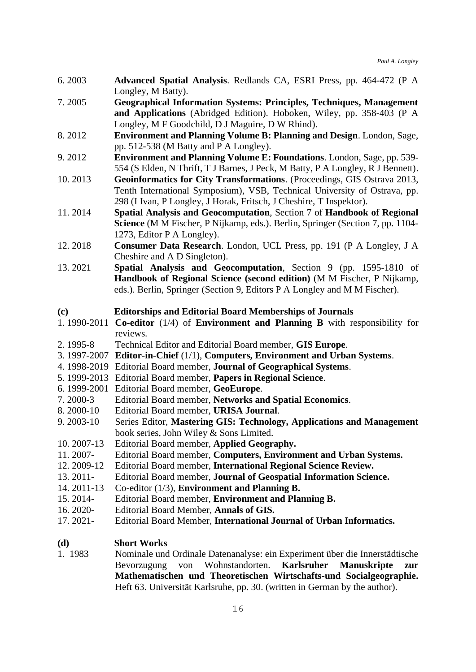- 6. 2003 **Advanced Spatial Analysis**. Redlands CA, ESRI Press, pp. 464-472 (P A Longley, M Batty).
- 7. 2005 **Geographical Information Systems: Principles, Techniques, Management and Applications** (Abridged Edition). Hoboken, Wiley, pp. 358-403 (P A Longley, M F Goodchild, D J Maguire, D W Rhind).
- 8. 2012 **Environment and Planning Volume B: Planning and Design**. London, Sage, pp. 512-538 (M Batty and P A Longley).
- 9. 2012 **Environment and Planning Volume E: Foundations**. London, Sage, pp. 539- 554 (S Elden, N Thrift, T J Barnes, J Peck, M Batty, P A Longley, R J Bennett).
- 10. 2013 **Geoinformatics for City Transformations**. (Proceedings, GIS Ostrava 2013, Tenth International Symposium), VSB, Technical University of Ostrava, pp. 298 (I Ivan, P Longley, J Horak, Fritsch, J Cheshire, T Inspektor).
- 11. 2014 **Spatial Analysis and Geocomputation**, Section 7 of **Handbook of Regional Science** (M M Fischer, P Nijkamp, eds.). Berlin, Springer (Section 7, pp. 1104- 1273, Editor P A Longley).
- 12. 2018 **Consumer Data Research**. London, UCL Press, pp. 191 (P A Longley, J A Cheshire and A D Singleton).
- 13. 2021 **Spatial Analysis and Geocomputation**, Section 9 (pp. 1595-1810 of **Handbook of Regional Science (second edition)** (M M Fischer, P Nijkamp, eds.). Berlin, Springer (Section 9, Editors P A Longley and M M Fischer).

#### <span id="page-15-0"></span>**(c) Editorships and Editorial Board Memberships of Journals**

- 1. 1990-2011 **Co-editor** (1/4) of **Environment and Planning B** with responsibility for reviews.
- 2. 1995-8 Technical Editor and Editorial Board member, **GIS Europe**.
- 3. 1997-2007 **Editor-in-Chief** (1/1), **Computers, Environment and Urban Systems**.
- 4. 1998-2019 Editorial Board member, **Journal of Geographical Systems**.
- 5. 1999-2013 Editorial Board member, **Papers in Regional Science**.
- 6. 1999-2001 Editorial Board member, **GeoEurope**.
- 7. 2000-3 Editorial Board member, **Networks and Spatial Economics**.
- 8. 2000-10 Editorial Board member, **URISA Journal**.
- 9. 2003-10 Series Editor, **Mastering GIS: Technology, Applications and Management**  book series, John Wiley & Sons Limited.
- 10. 2007-13 Editorial Board member, **Applied Geography.**
- 11. 2007- Editorial Board member, **Computers, Environment and Urban Systems.**
- 12. 2009-12 Editorial Board member, **International Regional Science Review.**
- 13. 2011- Editorial Board member, **Journal of Geospatial Information Science.**
- 14. 2011-13 Co-editor (1/3), **Environment and Planning B.**
- 15. 2014- Editorial Board member, **Environment and Planning B.**
- 16. 2020- Editorial Board Member, **Annals of GIS.**
- 17. 2021- Editorial Board Member, **International Journal of Urban Informatics.**

#### <span id="page-15-1"></span>**(d) Short Works**

1. 1983 Nominale und Ordinale Datenanalyse: ein Experiment über die Innerstädtische Bevorzugung von Wohnstandorten. **Karlsruher Manuskripte zur Mathematischen und Theoretischen Wirtschafts-und Socialgeographie.** Heft 63. Universität Karlsruhe, pp. 30. (written in German by the author).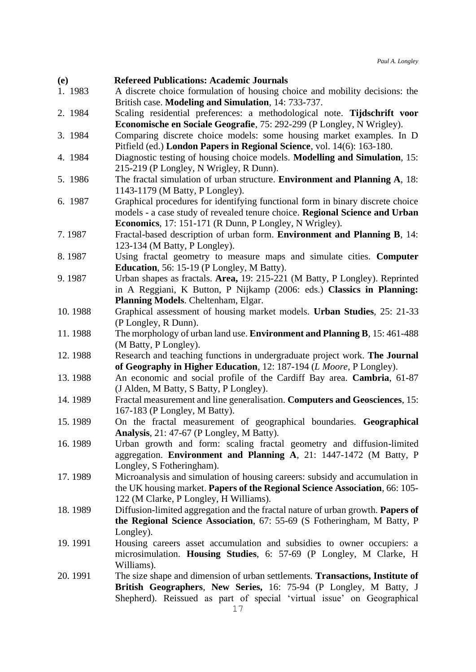<span id="page-16-0"></span>

| <b>(e)</b> | <b>Refereed Publications: Academic Journals</b>                                                                                               |
|------------|-----------------------------------------------------------------------------------------------------------------------------------------------|
| 1. 1983    | A discrete choice formulation of housing choice and mobility decisions: the                                                                   |
|            | British case. Modeling and Simulation, 14: 733-737.                                                                                           |
| 2. 1984    | Scaling residential preferences: a methodological note. Tijdschrift voor                                                                      |
|            | Economische en Sociale Geografie, 75: 292-299 (P Longley, N Wrigley).                                                                         |
| 3. 1984    | Comparing discrete choice models: some housing market examples. In D                                                                          |
|            | Pitfield (ed.) London Papers in Regional Science, vol. 14(6): 163-180.                                                                        |
| 4. 1984    | Diagnostic testing of housing choice models. Modelling and Simulation, 15:                                                                    |
| 5. 1986    | 215-219 (P Longley, N Wrigley, R Dunn).<br>The fractal simulation of urban structure. Environment and Planning A, 18:                         |
|            | 1143-1179 (M Batty, P Longley).                                                                                                               |
| 6. 1987    | Graphical procedures for identifying functional form in binary discrete choice                                                                |
|            | models - a case study of revealed tenure choice. Regional Science and Urban                                                                   |
|            | Economics, 17: 151-171 (R Dunn, P Longley, N Wrigley).                                                                                        |
| 7.1987     | Fractal-based description of urban form. Environment and Planning B, 14:                                                                      |
|            | 123-134 (M Batty, P Longley).                                                                                                                 |
| 8.1987     | Using fractal geometry to measure maps and simulate cities. Computer                                                                          |
|            | Education, 56: 15-19 (P Longley, M Batty).                                                                                                    |
| 9.1987     | Urban shapes as fractals. Area, 19: 215-221 (M Batty, P Longley). Reprinted                                                                   |
|            | in A Reggiani, K Button, P Nijkamp (2006: eds.) Classics in Planning:                                                                         |
|            | Planning Models. Cheltenham, Elgar.                                                                                                           |
| 10.1988    | Graphical assessment of housing market models. Urban Studies, 25: 21-33                                                                       |
|            | (P Longley, R Dunn).                                                                                                                          |
| 11.1988    | The morphology of urban land use. Environment and Planning B, 15: 461-488                                                                     |
|            | (M Batty, P Longley).                                                                                                                         |
| 12.1988    | Research and teaching functions in undergraduate project work. The Journal                                                                    |
| 13.1988    | of Geography in Higher Education, 12: 187-194 (L Moore, P Longley).<br>An economic and social profile of the Cardiff Bay area. Cambria, 61-87 |
|            | (J Alden, M Batty, S Batty, P Longley).                                                                                                       |
| 14.1989    | Fractal measurement and line generalisation. Computers and Geosciences, 15:                                                                   |
|            | 167-183 (P Longley, M Batty).                                                                                                                 |
| 15.1989    | On the fractal measurement of geographical boundaries. Geographical                                                                           |
|            | Analysis, 21: 47-67 (P Longley, M Batty).                                                                                                     |
| 16.1989    | Urban growth and form: scaling fractal geometry and diffusion-limited                                                                         |
|            | aggregation. Environment and Planning A, 21: 1447-1472 (M Batty, P                                                                            |
|            | Longley, S Fotheringham).                                                                                                                     |
| 17.1989    | Microanalysis and simulation of housing careers: subsidy and accumulation in                                                                  |
|            | the UK housing market. Papers of the Regional Science Association, 66: 105-                                                                   |
|            | 122 (M Clarke, P Longley, H Williams).                                                                                                        |
| 18.1989    | Diffusion-limited aggregation and the fractal nature of urban growth. Papers of                                                               |
|            | the Regional Science Association, 67: 55-69 (S Fotheringham, M Batty, P                                                                       |
|            | Longley).                                                                                                                                     |
| 19.1991    | Housing careers asset accumulation and subsidies to owner occupiers: a                                                                        |
|            | microsimulation. Housing Studies, 6: 57-69 (P Longley, M Clarke, H                                                                            |
| 20.1991    | Williams).<br>The size shape and dimension of urban settlements. <b>Transactions, Institute of</b>                                            |
|            | British Geographers, New Series, 16: 75-94 (P Longley, M Batty, J                                                                             |

Shepherd). Reissued as part of special 'virtual issue' on Geographical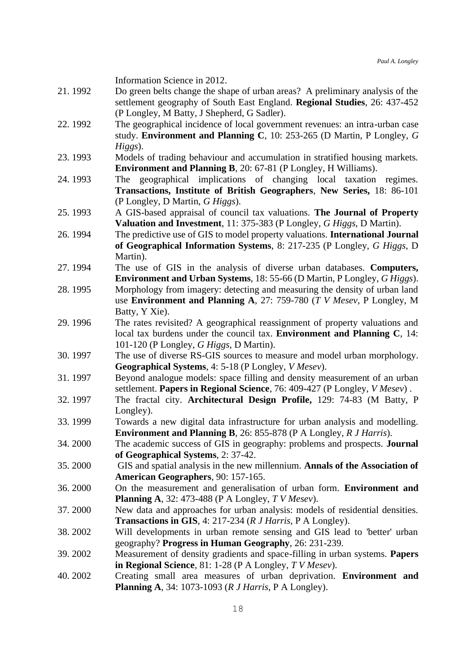|         | Information Science in 2012.                                                             |
|---------|------------------------------------------------------------------------------------------|
| 21.1992 | Do green belts change the shape of urban areas? A preliminary analysis of the            |
|         | settlement geography of South East England. Regional Studies, 26: 437-452                |
|         | (P Longley, M Batty, J Shepherd, G Sadler).                                              |
| 22.1992 | The geographical incidence of local government revenues: an intra-urban case             |
|         | study. Environment and Planning C, 10: 253-265 (D Martin, P Longley, G                   |
|         | Higgs).                                                                                  |
| 23.1993 | Models of trading behaviour and accumulation in stratified housing markets.              |
|         | <b>Environment and Planning B, 20: 67-81 (P Longley, H Williams).</b>                    |
| 24.1993 | geographical implications of changing local taxation regimes.<br>The                     |
|         | Transactions, Institute of British Geographers, New Series, 18: 86-101                   |
|         | (P Longley, D Martin, G Higgs).                                                          |
| 25.1993 | A GIS-based appraisal of council tax valuations. The Journal of Property                 |
|         | Valuation and Investment, 11: 375-383 (P Longley, G Higgs, D Martin).                    |
| 26.1994 | The predictive use of GIS to model property valuations. International Journal            |
|         | of Geographical Information Systems, 8: 217-235 (P Longley, G Higgs, D                   |
|         | Martin).                                                                                 |
| 27.1994 | The use of GIS in the analysis of diverse urban databases. Computers,                    |
|         | <b>Environment and Urban Systems</b> , 18: 55-66 (D Martin, P Longley, <i>G Higgs</i> ). |
| 28.1995 | Morphology from imagery: detecting and measuring the density of urban land               |
|         | use Environment and Planning A, 27: 759-780 (T V Mesev, P Longley, M                     |
|         | Batty, Y Xie).                                                                           |
| 29.1996 | The rates revisited? A geographical reassignment of property valuations and              |
|         | local tax burdens under the council tax. Environment and Planning C, 14:                 |
|         | 101-120 (P Longley, G Higgs, D Martin).                                                  |
| 30.1997 | The use of diverse RS-GIS sources to measure and model urban morphology.                 |
|         | Geographical Systems, 4: 5-18 (P Longley, <i>V Mesev</i> ).                              |
| 31.1997 | Beyond analogue models: space filling and density measurement of an urban                |
|         | settlement. Papers in Regional Science, 76: 409-427 (P Longley, V Mesev).                |
| 32.1997 | The fractal city. Architectural Design Profile, 129: 74-83 (M Batty, P                   |
|         | Longley).                                                                                |
| 33.1999 | Towards a new digital data infrastructure for urban analysis and modelling.              |
|         | <b>Environment and Planning B</b> , 26: 855-878 (P A Longley, R J Harris).               |
| 34.2000 | The academic success of GIS in geography: problems and prospects. Journal                |
|         | of Geographical Systems, 2: 37-42.                                                       |
| 35.2000 | GIS and spatial analysis in the new millennium. Annals of the Association of             |
|         | American Geographers, 90: 157-165.                                                       |
| 36.2000 | On the measurement and generalisation of urban form. Environment and                     |
|         | <b>Planning A, 32: 473-488 (P A Longley, TV Mesev).</b>                                  |
| 37.2000 | New data and approaches for urban analysis: models of residential densities.             |
|         | <b>Transactions in GIS, 4: 217-234 (R J Harris, P A Longley).</b>                        |
| 38.2002 | Will developments in urban remote sensing and GIS lead to 'better' urban                 |
|         | geography? Progress in Human Geography, 26: 231-239.                                     |
| 39.2002 | Measurement of density gradients and space-filling in urban systems. Papers              |
|         | in Regional Science, $81: 1-28$ (P A Longley, TV Mesev).                                 |
| 40.2002 | Creating small area measures of urban deprivation. Environment and                       |

**Planning A**, 34: 1073-1093 (*R J Harris*, P A Longley).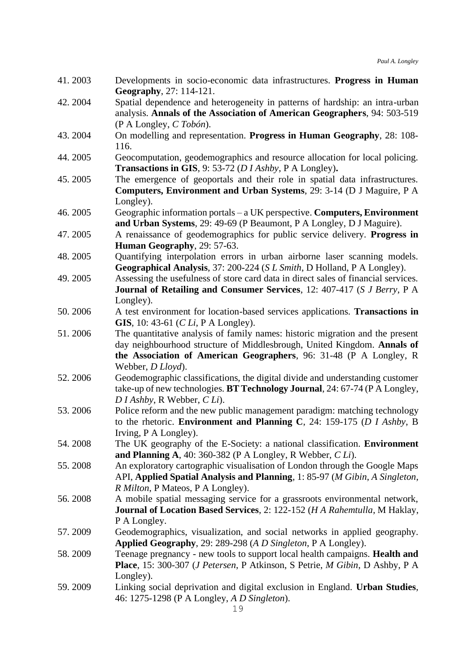| 41.2003 | Developments in socio-economic data infrastructures. Progress in Human<br>Geography, 27: 114-121.                                                          |
|---------|------------------------------------------------------------------------------------------------------------------------------------------------------------|
| 42.2004 | Spatial dependence and heterogeneity in patterns of hardship: an intra-urban                                                                               |
|         | analysis. Annals of the Association of American Geographers, 94: 503-519<br>(P A Longley, C Tobón).                                                        |
| 43.2004 | On modelling and representation. Progress in Human Geography, 28: 108-                                                                                     |
|         | 116.                                                                                                                                                       |
| 44.2005 | Geocomputation, geodemographics and resource allocation for local policing.                                                                                |
|         | Transactions in GIS, 9: 53-72 (D I Ashby, P A Longley).                                                                                                    |
| 45.2005 | The emergence of geoportals and their role in spatial data infrastructures.                                                                                |
|         | Computers, Environment and Urban Systems, 29: 3-14 (D J Maguire, P A<br>Longley).                                                                          |
| 46.2005 | Geographic information portals – a UK perspective. Computers, Environment                                                                                  |
|         | and Urban Systems, 29: 49-69 (P Beaumont, P A Longley, D J Maguire).                                                                                       |
| 47.2005 | A renaissance of geodemographics for public service delivery. Progress in                                                                                  |
|         | Human Geography, 29: 57-63.                                                                                                                                |
| 48.2005 | Quantifying interpolation errors in urban airborne laser scanning models.                                                                                  |
|         | Geographical Analysis, 37: 200-224 (S L Smith, D Holland, P A Longley).                                                                                    |
| 49.2005 | Assessing the usefulness of store card data in direct sales of financial services.                                                                         |
|         | <b>Journal of Retailing and Consumer Services</b> , 12: 407-417 (S J Berry, P A<br>Longley).                                                               |
| 50.2006 | A test environment for location-based services applications. Transactions in                                                                               |
|         | GIS, 10: 43-61 $(C Li, P A Longley)$ .                                                                                                                     |
| 51.2006 | The quantitative analysis of family names: historic migration and the present                                                                              |
|         | day neighbourhood structure of Middlesbrough, United Kingdom. Annals of                                                                                    |
|         | the Association of American Geographers, 96: 31-48 (P A Longley, R                                                                                         |
|         | Webber, D Lloyd).                                                                                                                                          |
| 52.2006 | Geodemographic classifications, the digital divide and understanding customer                                                                              |
|         | take-up of new technologies. BT Technology Journal, 24: 67-74 (P A Longley,                                                                                |
|         | $D$ <i>I Ashby</i> , R Webber, $C$ <i>Li</i> ).                                                                                                            |
| 53.2006 | Police reform and the new public management paradigm: matching technology<br>to the rhetoric. Environment and Planning C, 24: 159-175 ( $D$ I Ashby, B     |
|         | Irving, P A Longley).                                                                                                                                      |
| 54.2008 | The UK geography of the E-Society: a national classification. <b>Environment</b>                                                                           |
|         | and Planning A, 40: 360-382 (P A Longley, R Webber, C Li).                                                                                                 |
| 55.2008 | An exploratory cartographic visualisation of London through the Google Maps                                                                                |
|         | API, Applied Spatial Analysis and Planning, 1: 85-97 (M Gibin, A Singleton,                                                                                |
|         | R Milton, P Mateos, P A Longley).                                                                                                                          |
| 56.2008 | A mobile spatial messaging service for a grassroots environmental network,                                                                                 |
|         | Journal of Location Based Services, 2: 122-152 (H A Rahemtulla, M Haklay,                                                                                  |
|         | P A Longley.                                                                                                                                               |
| 57.2009 | Geodemographics, visualization, and social networks in applied geography.                                                                                  |
| 58.2009 | Applied Geography, 29: 289-298 (A D Singleton, P A Longley).                                                                                               |
|         | Teenage pregnancy - new tools to support local health campaigns. Health and<br>Place, 15: 300-307 (J Petersen, P Atkinson, S Petrie, M Gibin, D Ashby, P A |
|         | Longley).                                                                                                                                                  |
| 59.2009 | Linking social deprivation and digital exclusion in England. Urban Studies,                                                                                |
|         | 46: 1275-1298 (P A Longley, A D Singleton).                                                                                                                |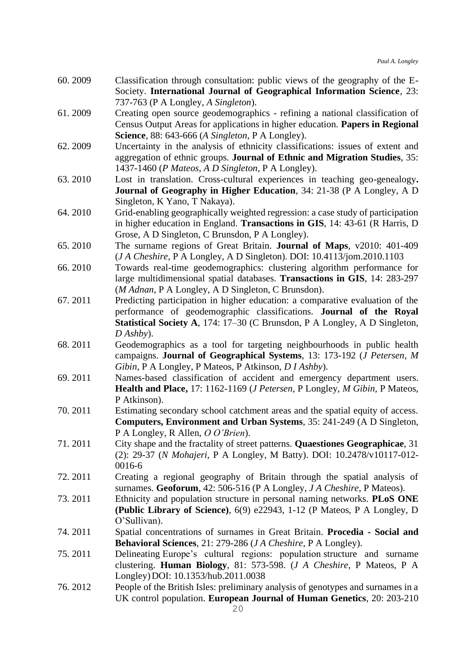- 60. 2009 Classification through consultation: public views of the geography of the E-Society. **International Journal of Geographical Information Science**, 23: 737-763 (P A Longley, *A Singleton*).
- 61. 2009 Creating open source geodemographics refining a national classification of Census Output Areas for applications in higher education. **Papers in Regional Science**, 88: 643-666 (*A Singleton*, P A Longley).
- 62. 2009 Uncertainty in the analysis of ethnicity classifications: issues of extent and aggregation of ethnic groups. **Journal of Ethnic and Migration Studies**, 35: 1437-1460 (*P Mateos*, *A D Singleton*, P A Longley).
- 63. 2010 Lost in translation. Cross-cultural experiences in teaching geo-genealogy**. Journal of Geography in Higher Education**, 34: 21-38 (P A Longley, A D Singleton, K Yano, T Nakaya).
- 64. 2010 Grid-enabling geographically weighted regression: a case study of participation in higher education in England. **Transactions in GIS**, 14: 43-61 (R Harris, D Grose, A D Singleton, C Brunsdon, P A Longley).
- 65. 2010 The surname regions of Great Britain. **Journal of Maps**, v2010: 401-409 (*J A Cheshire*, P A Longley, A D Singleton). DOI: 10.4113/jom.2010.1103
- 66. 2010 Towards real-time geodemographics: clustering algorithm performance for large multidimensional spatial databases. **Transactions in GIS**, 14: 283-297 (*M Adnan*, P A Longley, A D Singleton, C Brunsdon).
- 67. 2011 Predicting participation in higher education: a comparative evaluation of the performance of geodemographic classifications. **Journal of the Royal Statistical Society A**, 174: 17–30 (C Brunsdon, P A Longley, A D Singleton, *D Ashby*).
- 68. 2011 Geodemographics as a tool for targeting neighbourhoods in public health campaigns. **Journal of Geographical Systems**, 13: 173-192 (*J Petersen*, *M Gibin*, P A Longley, P Mateos, P Atkinson, *D I Ashby*).
- 69. 2011 Names-based classification of accident and emergency department users. **Health and Place,** 17: 1162-1169 (*J Petersen*, P Longley, *M Gibin*, P Mateos, P Atkinson).
- 70. 2011 Estimating secondary school catchment areas and the spatial equity of access. **Computers, Environment and Urban Systems**, 35: 241-249 (A D Singleton, P A Longley, R Allen, *O O'Brien*).
- 71. 2011 City shape and the fractality of street patterns. **Quaestiones Geographicae**, 31 (2): 29-37 (*N Mohajeri*, P A Longley, M Batty). DOI: 10.2478/v10117-012- 0016-6
- 72. 2011 Creating a regional geography of Britain through the spatial analysis of surnames. **Geoforum**, 42: 506-516 (P A Longley, *J A Cheshire*, P Mateos).
- 73. 2011 Ethnicity and population structure in personal naming networks. **PLoS ONE (Public Library of Science)**, 6(9) e22943, 1-12 (P Mateos, P A Longley, D O'Sullivan).
- 74. 2011 Spatial concentrations of surnames in Great Britain. **Procedia - [Social and](http://www.sciencedirect.com/science/journal/18770428)  [Behavioral Sciences](http://www.sciencedirect.com/science/journal/18770428)**, 21: 279-286 (*J A Cheshire*, P A Longley).
- 75. 2011 Delineating Europe's cultural regions: population structure and surname clustering. **Human Biology**, 81: 573-598. (*J A Cheshire,* P Mateos, P A Longley)DOI: 10.1353/hub.2011.0038
- 76. 2012 People of the British Isles: preliminary analysis of genotypes and surnames in a UK control population. **European Journal of Human Genetics**, 20: 203-210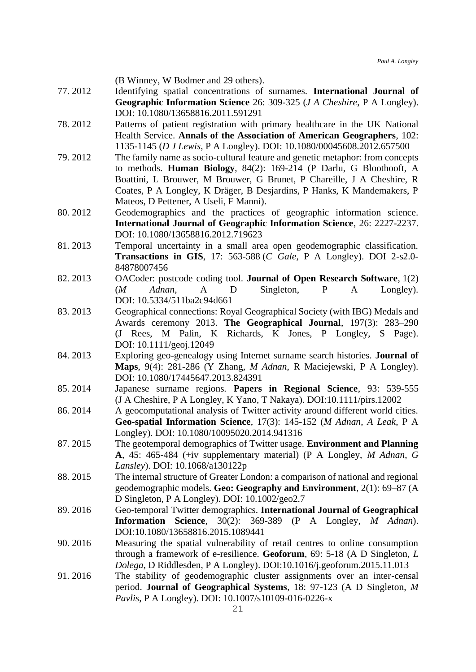(B Winney, W Bodmer and 29 others).

- 77. 2012 Identifying spatial concentrations of surnames. **International Journal of Geographic Information Science** 26: 309-325 (*J A Cheshire*, P A Longley). DOI: 10.1080/13658816.2011.591291
- 78. 2012 Patterns of patient registration with primary healthcare in the UK National Health Service. **Annals of the Association of American Geographers**, 102: 1135-1145 (*D J Lewis*, P A Longley). DOI: 10.1080/00045608.2012.657500
- 79. 2012 The family name as socio-cultural feature and genetic metaphor: from concepts to methods. **Human Biology**, 84(2): 169-214 (P Darlu, G Bloothooft, A Boattini, L Brouwer, M Brouwer, G Brunet, P Chareille, J A Cheshire, R Coates, P A Longley, K Dräger, B Desjardins, P Hanks, K Mandemakers, P Mateos, D Pettener, A Useli, F Manni).
- 80. 2012 Geodemographics and the practices of geographic information science. **International Journal of Geographic Information Science**, 26: 2227-2237. DOI: 10.1080/13658816.2012.719623
- 81. 2013 Temporal uncertainty in a small area open geodemographic classification. **Transactions in GIS**, 17: 563-588 (*C Gale*, P A Longley). DOI 2-s2.0- 84878007456
- 82. 2013 OACoder: postcode coding tool. **Journal of Open Research Software**, 1(2) (*M Adnan*, A D Singleton, P A Longley). DOI: 10.5334/511ba2c94d661
- 83. 2013 Geographical connections: Royal Geographical Society (with IBG) Medals and Awards ceremony 2013. **The Geographical Journal**, 197(3): 283–290 (J Rees, M Palin, K Richards, K Jones, P Longley, S Page). DOI: 10.1111/geoj.12049
- 84. 2013 Exploring geo-genealogy using Internet surname search histories. **Journal of Maps**, 9(4): 281-286 (Y Zhang, *M Adnan*, R Maciejewski, P A Longley). DOI: 10.1080/17445647.2013.824391
- 85. 2014 Japanese surname regions. **Papers in Regional Science**, 93: 539-555 (J A Cheshire, P A Longley, K Yano, T Nakaya). DOI:10.1111/pirs.12002
- 86. 2014 A geocomputational analysis of Twitter activity around different world cities. **Geo-spatial Information Science**, 17(3): 145-152 (*M Adnan*, *A Leak*, P A Longley). DOI: 10.1080/10095020.2014.941316
- 87. 2015 The geotemporal demographics of Twitter usage. **Environment and Planning A**, 45: 465-484 (+iv supplementary material) (P A Longley, *M Adnan*, *G Lansley*). DOI: 10.1068/a130122p
- 88. 2015 The internal structure of Greater London: a comparison of national and regional geodemographic models. **Geo: Geography and Environment**, 2(1): 69–87 (A D Singleton, P A Longley). DOI: 10.1002/geo2.7
- 89. 2016 Geo-temporal Twitter demographics. **International Journal of Geographical Information Science**, 30(2): 369-389 (P A Longley, *M Adnan*). DOI:10.1080/13658816.2015.1089441
- 90. 2016 Measuring the spatial vulnerability of retail centres to online consumption through a framework of e-resilience. **Geoforum**, 69: 5-18 (A D Singleton, *L Dolega*, D Riddlesden, P A Longley). DOI:10.1016/j.geoforum.2015.11.013
- 91. 2016 The stability of geodemographic cluster assignments over an inter-censal period. **Journal of Geographical Systems**, 18: 97-123 (A D Singleton, *M Pavlis*, P A Longley). DOI: 10.1007/s10109-016-0226-x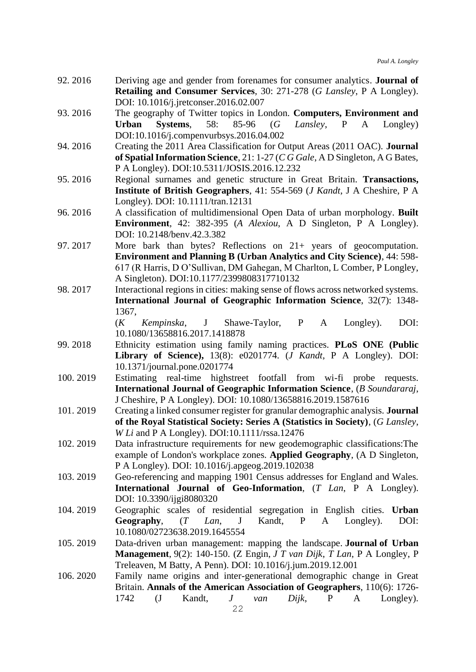- 92. 2016 Deriving age and gender from forenames for consumer analytics. **Journal of Retailing and Consumer Services**, 30: 271-278 (*G Lansley*, P A Longley). DOI: 10.1016/j.jretconser.2016.02.007
- 93. 2016 The geography of Twitter topics in London. **Computers, Environment and Urban Systems**, 58: 85-96 (*G Lansley*, P A Longley) DOI:10.1016/j.compenvurbsys.2016.04.002
- 94. 2016 Creating the 2011 Area Classification for Output Areas (2011 OAC). **Journal of Spatial Information Science**, 21: 1-27 (*C G Gale*, A D Singleton, A G Bates, P A Longley). DOI:10.5311/JOSIS.2016.12.232
- 95. 2016 Regional surnames and genetic structure in Great Britain. **Transactions, Institute of British Geographers**, 41: 554-569 (*J Kandt*, J A Cheshire, P A Longley). DOI: 10.1111/tran.12131
- 96. 2016 A classification of multidimensional Open Data of urban morphology. **Built Environment**, 42: 382-395 (*A Alexiou*, A D Singleton, P A Longley). DOI: 10.2148/benv.42.3.382
- 97. 2017 More bark than bytes? Reflections on 21+ years of geocomputation. **Environment and Planning B (Urban Analytics and City Science)**, 44: 598- 617 (R Harris, D O'Sullivan, DM Gahegan, M Charlton, L Comber, P Longley, A Singleton). DOI:10.1177/2399808317710132
- 98. 2017 Interactional regions in cities: making sense of flows across networked systems. **International Journal of Geographic Information Science**, 32(7): 1348- 1367,

(*K Kempinska*, J Shawe-Taylor, P A Longley). DOI: 10.1080/13658816.2017.1418878

- 99. 2018 Ethnicity estimation using family naming practices. **PLoS ONE (Public Library of Science),** 13(8): e0201774. (*J Kandt*, P A Longley). DOI: 10.1371/journal.pone.0201774
- 100. 2019 Estimating real-time highstreet footfall from wi-fi probe requests. **International Journal of Geographic Information Science**, (*B Soundararaj*, J Cheshire, P A Longley). DOI: 10.1080/13658816.2019.1587616
- 101. 2019 Creating a linked consumer register for granular demographic analysis. **Journal of the Royal Statistical Society: Series A (Statistics in Society)**, (*G Lansley*, *W Li* and P A Longley). DOI:10.1111/rssa.12476
- 102. 2019 Data infrastructure requirements for new geodemographic classifications:The example of London's workplace zones. **Applied Geography**, (A D Singleton, P A Longley). DOI: 10.1016/j.apgeog.2019.102038
- 103. 2019 Geo-referencing and mapping 1901 Census addresses for England and Wales. **International Journal of Geo-Information**, (*T Lan*, P A Longley). DOI: 10.3390/ijgi8080320
- 104. 2019 Geographic scales of residential segregation in English cities. **Urban Geography**, (*T Lan*, J Kandt, P A Longley). DOI: 10.1080/02723638.2019.1645554
- 105. 2019 Data-driven urban management: mapping the landscape. **Journal of Urban Management**, 9(2): 140-150. (Z Engin, *J T van Dijk*, *T Lan*, P A Longley, P Treleaven, M Batty, A Penn). DOI: 10.1016/j.jum.2019.12.001
- 106. 2020 Family name origins and inter-generational demographic change in Great Britain. **Annals of the American Association of Geographers**, 110(6): 1726- 1742 (J Kandt, *J van Dijk*, P A Longley).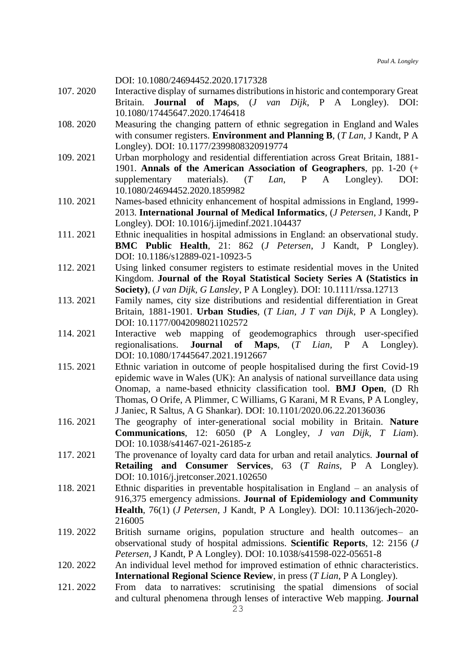DOI: 10.1080/24694452.2020.1717328

- 107. 2020 Interactive display of surnames distributions in historic and contemporary Great Britain. **Journal of Maps**, (*J van Dijk*, P A Longley). DOI: 10.1080/17445647.2020.1746418
- 108. 2020 Measuring the changing pattern of ethnic segregation in England and Wales with consumer registers. **Environment and Planning B**, (*T Lan*, J Kandt, P A Longley). DOI: 10.1177/2399808320919774
- 109. 2021 Urban morphology and residential differentiation across Great Britain, 1881- 1901. **Annals of the American Association of Geographers**, pp. 1-20 (+ supplementary materials). (*T Lan*, P A Longley). DOI: 10.1080/24694452.2020.1859982
- 110. 2021 Names-based ethnicity enhancement of hospital admissions in England, 1999- 2013. **International Journal of Medical Informatics**, (*J Petersen*, J Kandt, P Longley). DOI: 10.1016/j.ijmedinf.2021.104437
- 111. 2021 Ethnic inequalities in hospital admissions in England: an observational study. **BMC Public Health**, 21: 862 (*J Petersen*, J Kandt, P Longley). DOI: 10.1186/s12889-021-10923-5
- 112. 2021 Using linked consumer registers to estimate residential moves in the United Kingdom. **Journal of the Royal Statistical Society Series A (Statistics in Society)**, (*J van Dijk, G Lansley*, P A Longley). DOI: 10.1111/rssa.12713
- 113. 2021 Family names, city size distributions and residential differentiation in Great Britain, 1881-1901. **Urban Studies**, (*T Lian, J T van Dijk*, P A Longley). DOI: 10.1177/0042098021102572
- 114. 2021 Interactive web mapping of geodemographics through user-specified regionalisations. **Journal of Maps**, (*T Lian,* P A Longley). DOI: 10.1080/17445647.2021.1912667
- 115. 2021 Ethnic variation in outcome of people hospitalised during the first Covid-19 epidemic wave in Wales (UK): An analysis of national surveillance data using Onomap, a name-based ethnicity classification tool. **BMJ Open**, (D Rh Thomas, O Orife, A Plimmer, C Williams, G Karani, M R Evans, P A Longley, J Janiec, R Saltus, A G Shankar). DOI: 10.1101/2020.06.22.20136036
- 116. 2021 The geography of inter-generational social mobility in Britain. **Nature Communications**, 12: 6050 (P A Longley, *J van Dijk, T Liam*). DOI: 10.1038/s41467-021-26185-z
- 117. 2021 The provenance of loyalty card data for urban and retail analytics. **Journal of Retailing and Consumer Services**, 63 (*T Rains*, P A Longley). DOI: 10.1016/j.jretconser.2021.102650
- 118. 2021 Ethnic disparities in preventable hospitalisation in England an analysis of 916,375 emergency admissions. **Journal of Epidemiology and Community Health**, 76(1) (*J Petersen*, J Kandt, P A Longley). DOI: 10.1136/jech-2020- 216005
- 119. 2022 British surname origins, population structure and health outcomes– an observational study of hospital admissions. **Scientific Reports**, 12: 2156 (*J Petersen,* J Kandt, P A Longley). DOI: 10.1038/s41598-022-05651-8
- 120. 2022 An individual level method for improved estimation of ethnic characteristics. **International Regional Science Review**, in press (*T Lian*, P A Longley).
- 121. 2022 From data to narratives: scrutinising the spatial dimensions of social and cultural phenomena through lenses of interactive Web mapping. **Journal**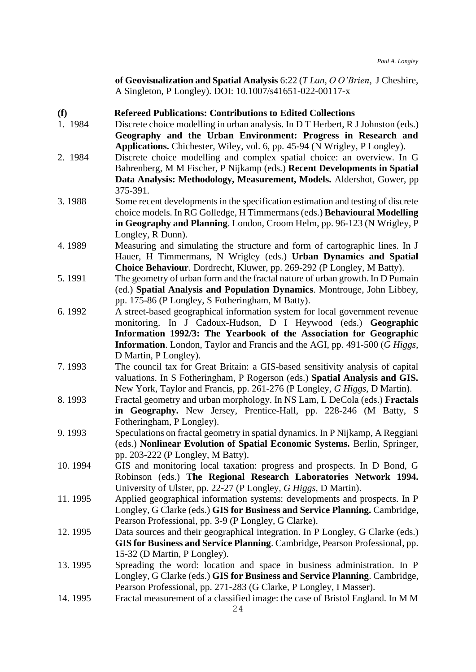**of Geovisualization and Spatial Analysis** 6:22 (*T Lan*, *O O'Brien*, J Cheshire, A Singleton, P Longley). DOI: 10.1007/s41651-022-00117-x

<span id="page-23-0"></span>

|                | A Singleton, P Longley). DOI: 10.1007/s41651-022-00117-x                                                                                                                                                                                                                                                   |
|----------------|------------------------------------------------------------------------------------------------------------------------------------------------------------------------------------------------------------------------------------------------------------------------------------------------------------|
| (f)<br>1. 1984 | <b>Refereed Publications: Contributions to Edited Collections</b><br>Discrete choice modelling in urban analysis. In D T Herbert, R J Johnston (eds.)<br>Geography and the Urban Environment: Progress in Research and                                                                                     |
| 2. 1984        | Applications. Chichester, Wiley, vol. 6, pp. 45-94 (N Wrigley, P Longley).<br>Discrete choice modelling and complex spatial choice: an overview. In G<br>Bahrenberg, M M Fischer, P Nijkamp (eds.) Recent Developments in Spatial<br>Data Analysis: Methodology, Measurement, Models. Aldershot, Gower, pp |
|                | 375-391.                                                                                                                                                                                                                                                                                                   |
| 3.1988         | Some recent developments in the specification estimation and testing of discrete<br>choice models. In RG Golledge, H Timmermans (eds.) Behavioural Modelling<br>in Geography and Planning. London, Croom Helm, pp. 96-123 (N Wrigley, P<br>Longley, R Dunn).                                               |
| 4. 1989        | Measuring and simulating the structure and form of cartographic lines. In J<br>Hauer, H Timmermans, N Wrigley (eds.) Urban Dynamics and Spatial<br>Choice Behaviour. Dordrecht, Kluwer, pp. 269-292 (P Longley, M Batty).                                                                                  |
| 5.1991         | The geometry of urban form and the fractal nature of urban growth. In D Pumain<br>(ed.) Spatial Analysis and Population Dynamics. Montrouge, John Libbey,<br>pp. 175-86 (P Longley, S Fotheringham, M Batty).                                                                                              |
| 6.1992         | A street-based geographical information system for local government revenue<br>monitoring. In J Cadoux-Hudson, D I Heywood (eds.) Geographic<br>Information 1992/3: The Yearbook of the Association for Geographic<br><b>Information.</b> London, Taylor and Francis and the AGI, pp. 491-500 (G Higgs,    |
| 7.1993         | D Martin, P Longley).<br>The council tax for Great Britain: a GIS-based sensitivity analysis of capital<br>valuations. In S Fotheringham, P Rogerson (eds.) Spatial Analysis and GIS.<br>New York, Taylor and Francis, pp. 261-276 (P Longley, <i>G Higgs</i> , D Martin).                                 |
| 8.1993         | Fractal geometry and urban morphology. In NS Lam, L DeCola (eds.) Fractals<br>in Geography. New Jersey, Prentice-Hall, pp. 228-246 (M Batty, S<br>Fotheringham, P Longley).                                                                                                                                |
| 9.1993         | Speculations on fractal geometry in spatial dynamics. In P Nijkamp, A Reggiani<br>(eds.) Nonlinear Evolution of Spatial Economic Systems. Berlin, Springer,<br>pp. 203-222 (P Longley, M Batty).                                                                                                           |
| 10.1994        | GIS and monitoring local taxation: progress and prospects. In D Bond, G<br>Robinson (eds.) The Regional Research Laboratories Network 1994.<br>University of Ulster, pp. 22-27 (P Longley, <i>G Higgs</i> , D Martin).                                                                                     |
| 11.1995        | Applied geographical information systems: developments and prospects. In P<br>Longley, G Clarke (eds.) GIS for Business and Service Planning. Cambridge,<br>Pearson Professional, pp. 3-9 (P Longley, G Clarke).                                                                                           |
| 12.1995        | Data sources and their geographical integration. In P Longley, G Clarke (eds.)<br>GIS for Business and Service Planning. Cambridge, Pearson Professional, pp.<br>15-32 (D Martin, P Longley).                                                                                                              |
| 13.1995        | Spreading the word: location and space in business administration. In P<br>Longley, G Clarke (eds.) GIS for Business and Service Planning. Cambridge,<br>Pearson Professional, pp. 271-283 (G Clarke, P Longley, I Masser).                                                                                |

14. 1995 Fractal measurement of a classified image: the case of Bristol England. In M M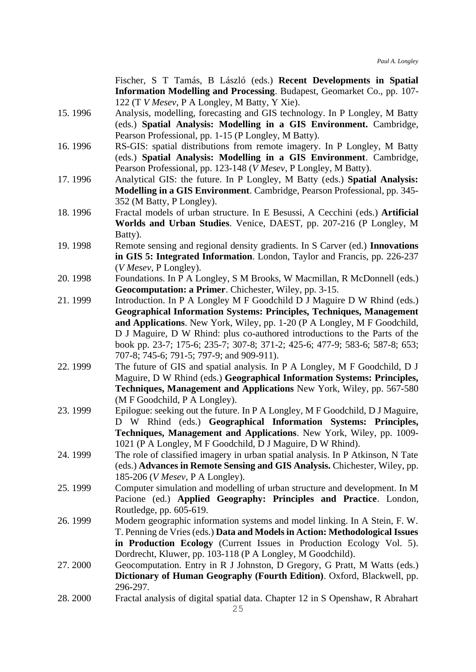Fischer, S T Tamás, B László (eds.) **Recent Developments in Spatial Information Modelling and Processing**. Budapest, Geomarket Co., pp. 107- 122 (T *V Mesev*, P A Longley, M Batty, Y Xie).

- 15. 1996 Analysis, modelling, forecasting and GIS technology. In P Longley, M Batty (eds.) **Spatial Analysis: Modelling in a GIS Environment.** Cambridge, Pearson Professional, pp. 1-15 (P Longley, M Batty).
- 16. 1996 RS-GIS: spatial distributions from remote imagery. In P Longley, M Batty (eds.) **Spatial Analysis: Modelling in a GIS Environment**. Cambridge, Pearson Professional, pp. 123-148 (*V Mesev*, P Longley, M Batty).
- 17. 1996 Analytical GIS: the future. In P Longley, M Batty (eds.) **Spatial Analysis: Modelling in a GIS Environment**. Cambridge, Pearson Professional, pp. 345- 352 (M Batty, P Longley).
- 18. 1996 Fractal models of urban structure. In E Besussi, A Cecchini (eds.) **Artificial Worlds and Urban Studies**. Venice, DAEST, pp. 207-216 (P Longley, M Batty).
- 19. 1998 Remote sensing and regional density gradients. In S Carver (ed.) **Innovations in GIS 5: Integrated Information**. London, Taylor and Francis, pp. 226-237 (*V Mesev*, P Longley).
- 20. 1998 Foundations. In P A Longley, S M Brooks, W Macmillan, R McDonnell (eds.) **Geocomputation: a Primer**. Chichester, Wiley, pp. 3-15.
- 21. 1999 Introduction. In P A Longley M F Goodchild D J Maguire D W Rhind (eds.) **Geographical Information Systems: Principles, Techniques, Management and Applications**. New York, Wiley, pp. 1-20 (P A Longley, M F Goodchild, D J Maguire, D W Rhind: plus co-authored introductions to the Parts of the book pp. 23-7; 175-6; 235-7; 307-8; 371-2; 425-6; 477-9; 583-6; 587-8; 653; 707-8; 745-6; 791-5; 797-9; and 909-911).
- 22. 1999 The future of GIS and spatial analysis. In P A Longley, M F Goodchild, D J Maguire, D W Rhind (eds.) **Geographical Information Systems: Principles, Techniques, Management and Applications** New York, Wiley, pp. 567-580 (M F Goodchild, P A Longley).
- 23. 1999 Epilogue: seeking out the future. In P A Longley, M F Goodchild, D J Maguire, D W Rhind (eds.) **Geographical Information Systems: Principles, Techniques, Management and Applications**. New York, Wiley, pp. 1009- 1021 (P A Longley, M F Goodchild, D J Maguire, D W Rhind).
- 24. 1999 The role of classified imagery in urban spatial analysis. In P Atkinson, N Tate (eds.) **Advances in Remote Sensing and GIS Analysis.** Chichester, Wiley, pp. 185-206 (*V Mesev*, P A Longley).
- 25. 1999 Computer simulation and modelling of urban structure and development. In M Pacione (ed.) **Applied Geography: Principles and Practice**. London, Routledge, pp. 605-619.
- 26. 1999 Modern geographic information systems and model linking. In A Stein, F. W. T. Penning de Vries (eds.) **Data and Models in Action: Methodological Issues in Production Ecology** (Current Issues in Production Ecology Vol. 5). Dordrecht, Kluwer, pp. 103-118 (P A Longley, M Goodchild).
- 27. 2000 Geocomputation. Entry in R J Johnston, D Gregory, G Pratt, M Watts (eds.) **Dictionary of Human Geography (Fourth Edition)**. Oxford, Blackwell, pp. 296-297.
- 28. 2000 Fractal analysis of digital spatial data. Chapter 12 in S Openshaw, R Abrahart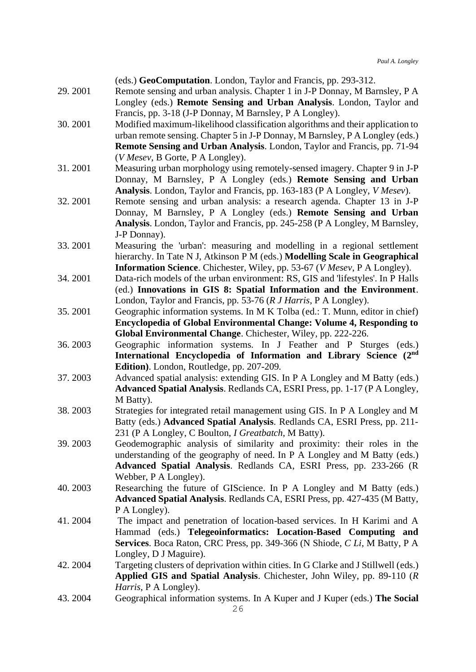(eds.) **GeoComputation**. London, Taylor and Francis, pp. 293-312. 29. 2001 Remote sensing and urban analysis. Chapter 1 in J-P Donnay, M Barnsley, P A Longley (eds.) **Remote Sensing and Urban Analysis**. London, Taylor and Francis, pp. 3-18 (J-P Donnay, M Barnsley, P A Longley). 30. 2001 Modified maximum-likelihood classification algorithms and their application to urban remote sensing. Chapter 5 in J-P Donnay, M Barnsley, P A Longley (eds.) **Remote Sensing and Urban Analysis**. London, Taylor and Francis, pp. 71-94 (*V Mesev*, B Gorte, P A Longley). 31. 2001 Measuring urban morphology using remotely-sensed imagery. Chapter 9 in J-P Donnay, M Barnsley, P A Longley (eds.) **Remote Sensing and Urban Analysis**. London, Taylor and Francis, pp. 163-183 (P A Longley, *V Mesev*). 32. 2001 Remote sensing and urban analysis: a research agenda. Chapter 13 in J-P Donnay, M Barnsley, P A Longley (eds.) **Remote Sensing and Urban Analysis**. London, Taylor and Francis, pp. 245-258 (P A Longley, M Barnsley, J-P Donnay). 33. 2001 Measuring the 'urban': measuring and modelling in a regional settlement hierarchy. In Tate N J, Atkinson P M (eds.) **Modelling Scale in Geographical Information Science**. Chichester, Wiley, pp. 53-67 (*V Mesev*, P A Longley). 34. 2001 Data-rich models of the urban environment: RS, GIS and 'lifestyles'. In P Halls (ed.) **Innovations in GIS 8: Spatial Information and the Environment**. London, Taylor and Francis, pp. 53-76 (*R J Harris*, P A Longley). 35. 2001 Geographic information systems. In M K Tolba (ed.: T. Munn, editor in chief) **Encyclopedia of Global Environmental Change: Volume 4, Responding to Global Environmental Change**. Chichester, Wiley, pp. 222-226. 36. 2003 Geographic information systems. In J Feather and P Sturges (eds.) **International Encyclopedia of Information and Library Science (2 nd Edition)**. London, Routledge, pp. 207-209. 37. 2003 Advanced spatial analysis: extending GIS. In P A Longley and M Batty (eds.) **Advanced Spatial Analysis**. Redlands CA, ESRI Press, pp. 1-17 (P A Longley, M Batty). 38. 2003 Strategies for integrated retail management using GIS. In P A Longley and M Batty (eds.) **Advanced Spatial Analysis**. Redlands CA, ESRI Press, pp. 211- 231 (P A Longley, C Boulton, *I Greatbatch*, M Batty). 39. 2003 Geodemographic analysis of similarity and proximity: their roles in the understanding of the geography of need. In P A Longley and M Batty (eds.) **Advanced Spatial Analysis**. Redlands CA, ESRI Press, pp. 233-266 (R Webber, P A Longley). 40. 2003 Researching the future of GIScience. In P A Longley and M Batty (eds.) **Advanced Spatial Analysis**. Redlands CA, ESRI Press, pp. 427-435 (M Batty, P A Longley). 41. 2004 The impact and penetration of location-based services. In H Karimi and A Hammad (eds.) **Telegeoinformatics: Location-Based Computing and Services**. Boca Raton, CRC Press, pp. 349-366 (N Shiode, *C Li*, M Batty, P A Longley, D J Maguire). 42. 2004 Targeting clusters of deprivation within cities. In G Clarke and J Stillwell (eds.) **Applied GIS and Spatial Analysis**. Chichester, John Wiley, pp. 89-110 (*R Harris*, P A Longley). 43. 2004 Geographical information systems. In A Kuper and J Kuper (eds.) **The Social**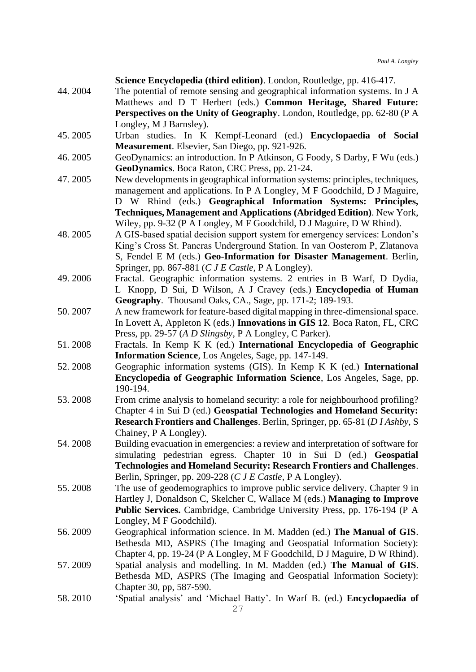**Science Encyclopedia (third edition)**. London, Routledge, pp. 416-417.

- 44. 2004 The potential of remote sensing and geographical information systems. In J A Matthews and D T Herbert (eds.) **Common Heritage, Shared Future: Perspectives on the Unity of Geography**. London, Routledge, pp. 62-80 (P A Longley, M J Barnsley).
- 45. 2005 Urban studies. In K Kempf-Leonard (ed.) **Encyclopaedia of Social Measurement**. Elsevier, San Diego, pp. 921-926.
- 46. 2005 GeoDynamics: an introduction. In P Atkinson, G Foody, S Darby, F Wu (eds.) **GeoDynamics**. Boca Raton, CRC Press, pp. 21-24.
- 47. 2005 New developments in geographical information systems: principles, techniques, management and applications. In P A Longley, M F Goodchild, D J Maguire, D W Rhind (eds.) **Geographical Information Systems: Principles, Techniques, Management and Applications (Abridged Edition)**. New York, Wiley, pp. 9-32 (P A Longley, M F Goodchild, D J Maguire, D W Rhind).
- 48. 2005 A GIS-based spatial decision support system for emergency services: London's King's Cross St. Pancras Underground Station. In van Oosterom P, Zlatanova S, Fendel E M (eds.) **Geo-Information for Disaster Management**. Berlin, Springer, pp. 867-881 (*C J E Castle*, P A Longley).
- 49. 2006 Fractal. Geographic information systems. 2 entries in B Warf, D Dydia, L Knopp, D Sui, D Wilson, A J Cravey (eds.) **Encyclopedia of Human Geography**. Thousand Oaks, CA., Sage, pp. 171-2; 189-193.
- 50. 2007 A new framework for feature-based digital mapping in three-dimensional space. In Lovett A, Appleton K (eds.) **Innovations in GIS 12**. Boca Raton, FL, CRC Press, pp. 29-57 (*A D Slingsby*, P A Longley, C Parker).
- 51. 2008 Fractals. In Kemp K K (ed.) **International Encyclopedia of Geographic Information Science**, Los Angeles, Sage, pp. 147-149.
- 52. 2008 Geographic information systems (GIS). In Kemp K K (ed.) **International Encyclopedia of Geographic Information Science**, Los Angeles, Sage, pp. 190-194.
- 53. 2008 From crime analysis to homeland security: a role for neighbourhood profiling? Chapter 4 in Sui D (ed.) **Geospatial Technologies and Homeland Security: Research Frontiers and Challenges**. Berlin, Springer, pp. 65-81 (*D I Ashby,* S Chainey, P A Longley).
- 54. 2008 Building evacuation in emergencies: a review and interpretation of software for simulating pedestrian egress. Chapter 10 in Sui D (ed.) **Geospatial Technologies and Homeland Security: Research Frontiers and Challenges**. Berlin, Springer, pp. 209-228 (*C J E Castle,* P A Longley).
- 55. 2008 The use of geodemographics to improve public service delivery. Chapter 9 in Hartley J, Donaldson C, Skelcher C, Wallace M (eds.) **Managing to Improve Public Services.** Cambridge, Cambridge University Press, pp. 176-194 (P A Longley, M F Goodchild).
- 56. 2009 Geographical information science. In M. Madden (ed.) **The Manual of GIS**. Bethesda MD, ASPRS (The Imaging and Geospatial Information Society): Chapter 4, pp. 19-24 (P A Longley, M F Goodchild, D J Maguire, D W Rhind).
- 57. 2009 Spatial analysis and modelling. In M. Madden (ed.) **The Manual of GIS**. Bethesda MD, ASPRS (The Imaging and Geospatial Information Society): Chapter 30, pp, 587-590.
- 58. 2010 'Spatial analysis' and 'Michael Batty'. In Warf B. (ed.) **Encyclopaedia of**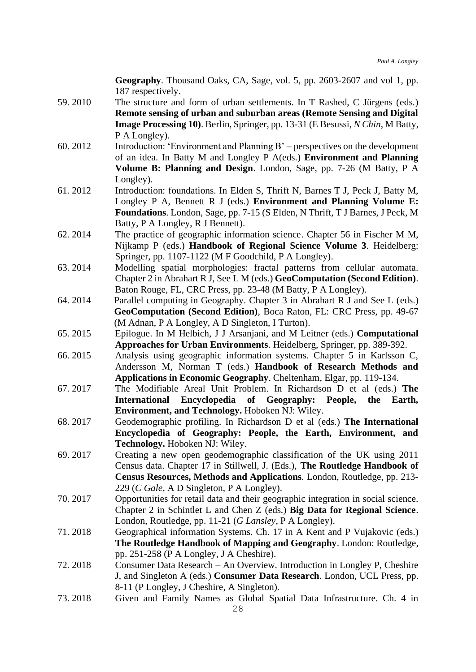**Geography**. Thousand Oaks, CA, Sage, vol. 5, pp. 2603-2607 and vol 1, pp. 187 respectively.

- 59. 2010 The structure and form of urban settlements. In T Rashed, C Jürgens (eds.) **Remote sensing of urban and suburban areas (Remote Sensing and Digital Image Processing 10)**. Berlin, Springer, pp. 13-31 (E Besussi, *N Chin*, M Batty, P A Longley).
- 60. 2012 Introduction: 'Environment and Planning B' perspectives on the development of an idea. In Batty M and Longley P A(eds.) **Environment and Planning Volume B: Planning and Design**. London, Sage, pp. 7-26 (M Batty, P A Longley).
- 61. 2012 Introduction: foundations. In Elden S, Thrift N, Barnes T J, Peck J, Batty M, Longley P A, Bennett R J (eds.) **Environment and Planning Volume E: Foundations**. London, Sage, pp. 7-15 (S Elden, N Thrift, T J Barnes, J Peck, M Batty, P A Longley, R J Bennett).
- 62. 2014 The practice of geographic information science. Chapter 56 in Fischer M M, Nijkamp P (eds.) **Handbook of Regional Science Volume 3**. Heidelberg: Springer, pp. 1107-1122 (M F Goodchild, P A Longley).
- 63. 2014 Modelling spatial morphologies: fractal patterns from cellular automata. Chapter 2 in Abrahart R J, See L M (eds.) **GeoComputation (Second Edition)**. Baton Rouge, FL, CRC Press, pp. 23-48 (M Batty, P A Longley).
- 64. 2014 Parallel computing in Geography. Chapter 3 in Abrahart R J and See L (eds.) **GeoComputation (Second Edition)**, Boca Raton, FL: CRC Press, pp. 49-67 (M Adnan, P A Longley, A D Singleton, I Turton).
- 65. 2015 Epilogue. In M Helbich, J J Arsanjani, and M Leitner (eds.) **Computational Approaches for Urban Environments**. Heidelberg, Springer, pp. 389-392.
- 66. 2015 Analysis using geographic information systems. Chapter 5 in Karlsson C, Andersson M, Norman T (eds.) **Handbook of Research Methods and Applications in Economic Geography**. Cheltenham, Elgar, pp. 119-134.
- 67. 2017 The Modifiable Areal Unit Problem. In Richardson D et al (eds.) **The International Encyclopedia of Geography: People, the Earth, Environment, and Technology.** Hoboken NJ: Wiley.
- 68. 2017 Geodemographic profiling. In Richardson D et al (eds.) **The International Encyclopedia of Geography: People, the Earth, Environment, and Technology.** Hoboken NJ: Wiley.
- 69. 2017 Creating a new open geodemographic classification of the UK using 2011 Census data. Chapter 17 in Stillwell, J. (Eds.), **The Routledge Handbook of Census Resources, Methods and Applications***.* London, Routledge, pp. 213- 229 (*C Gale*, A D Singleton, P A Longley).
- 70. 2017 Opportunities for retail data and their geographic integration in social science. Chapter 2 in Schintlet L and Chen Z (eds.) **Big Data for Regional Science**. London, Routledge, pp. 11-21 (*G Lansley*, P A Longley).
- 71. 2018 Geographical information Systems. Ch. 17 in A Kent and P Vujakovic (eds.) **The Routledge Handbook of Mapping and Geography**. London: Routledge, pp. 251-258 (P A Longley, J A Cheshire).
- 72. 2018 Consumer Data Research An Overview. Introduction in Longley P, Cheshire J, and Singleton A (eds.) **Consumer Data Research**. London, UCL Press, pp. 8-11 (P Longley, J Cheshire, A Singleton).
- 73. 2018 Given and Family Names as Global Spatial Data Infrastructure. Ch. 4 in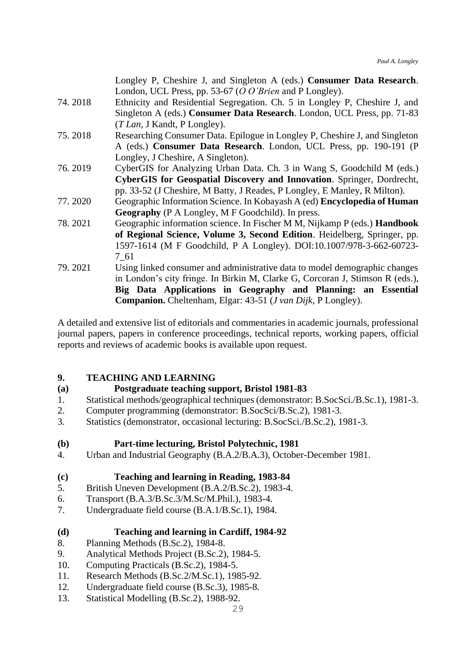|          | Longley P, Cheshire J, and Singleton A (eds.) Consumer Data Research.           |
|----------|---------------------------------------------------------------------------------|
|          | London, UCL Press, pp. 53-67 ( $O O'$ Brien and P Longley).                     |
| 74. 2018 | Ethnicity and Residential Segregation. Ch. 5 in Longley P, Cheshire J, and      |
|          | Singleton A (eds.) Consumer Data Research. London, UCL Press, pp. 71-83         |
|          | ( <i>T Lan</i> , <i>J Kandt</i> , <i>P Longley</i> ).                           |
| 75.2018  | Researching Consumer Data. Epilogue in Longley P, Cheshire J, and Singleton     |
|          | A (eds.) Consumer Data Research. London, UCL Press, pp. 190-191 (P              |
|          | Longley, J Cheshire, A Singleton).                                              |
| 76.2019  | CyberGIS for Analyzing Urban Data. Ch. 3 in Wang S, Goodchild M (eds.)          |
|          | CyberGIS for Geospatial Discovery and Innovation. Springer, Dordrecht,          |
|          | pp. 33-52 (J Cheshire, M Batty, J Reades, P Longley, E Manley, R Milton).       |
| 77.2020  | Geographic Information Science. In Kobayash A (ed) <b>Encyclopedia of Human</b> |
|          | <b>Geography</b> (P A Longley, M F Goodchild). In press.                        |
| 78.2021  | Geographic information science. In Fischer M M, Nijkamp P (eds.) Handbook       |
|          | of Regional Science, Volume 3, Second Edition. Heidelberg, Springer, pp.        |
|          | 1597-1614 (M F Goodchild, P A Longley). DOI:10.1007/978-3-662-60723-            |
|          | $7\_61$                                                                         |
| 79.2021  | Using linked consumer and administrative data to model demographic changes      |
|          | in London's city fringe. In Birkin M, Clarke G, Corcoran J, Stimson R (eds.),   |
|          | Big Data Applications in Geography and Planning: an Essential                   |
|          | <b>Companion.</b> Cheltenham, Elgar: 43-51 ( <i>J van Dijk</i> , P Longley).    |

A detailed and extensive list of editorials and commentaries in academic journals, professional journal papers, papers in conference proceedings, technical reports, working papers, official reports and reviews of academic books is available upon request.

# <span id="page-28-0"></span>**9. TEACHING AND LEARNING**

#### <span id="page-28-1"></span>**(a) Postgraduate teaching support, Bristol 1981-83**

- 1. Statistical methods/geographical techniques (demonstrator: B.SocSci./B.Sc.1), 1981-3.
- 2. Computer programming (demonstrator: B.SocSci/B.Sc.2), 1981-3.
- 3. Statistics (demonstrator, occasional lecturing: B.SocSci./B.Sc.2), 1981-3.
- <span id="page-28-2"></span>**(b) Part-time lecturing, Bristol Polytechnic, 1981**
- 4. Urban and Industrial Geography (B.A.2/B.A.3), October-December 1981.

#### <span id="page-28-3"></span>**(c) Teaching and learning in Reading, 1983-84**

- 5. British Uneven Development (B.A.2/B.Sc.2), 1983-4.
- 6. Transport (B.A.3/B.Sc.3/M.Sc/M.Phil.), 1983-4.
- 7. Undergraduate field course (B.A.1/B.Sc.1), 1984.

# <span id="page-28-4"></span>**(d) Teaching and learning in Cardiff, 1984-92**

- 8. Planning Methods (B.Sc.2), 1984-8.
- 9. Analytical Methods Project (B.Sc.2), 1984-5.
- 10. Computing Practicals (B.Sc.2), 1984-5.
- 11. Research Methods (B.Sc.2/M.Sc.1), 1985-92.
- 12. Undergraduate field course (B.Sc.3), 1985-8.
- 13. Statistical Modelling (B.Sc.2), 1988-92.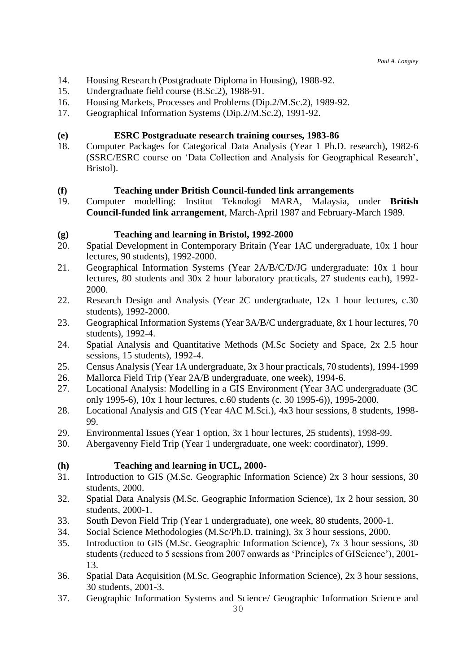- 14. Housing Research (Postgraduate Diploma in Housing), 1988-92.
- 15. Undergraduate field course (B.Sc.2), 1988-91.
- 16. Housing Markets, Processes and Problems (Dip.2/M.Sc.2), 1989-92.
- 17. Geographical Information Systems (Dip.2/M.Sc.2), 1991-92.

# <span id="page-29-0"></span>**(e) ESRC Postgraduate research training courses, 1983-86**

18. Computer Packages for Categorical Data Analysis (Year 1 Ph.D. research), 1982-6 (SSRC/ESRC course on 'Data Collection and Analysis for Geographical Research', Bristol).

# <span id="page-29-1"></span>**(f) Teaching under British Council-funded link arrangements**

19. Computer modelling: Institut Teknologi MARA, Malaysia, under **British Council-funded link arrangement**, March-April 1987 and February-March 1989.

# <span id="page-29-2"></span>**(g) Teaching and learning in Bristol, 1992-2000**

- 20. Spatial Development in Contemporary Britain (Year 1AC undergraduate, 10x 1 hour lectures, 90 students), 1992-2000.
- 21. Geographical Information Systems (Year 2A/B/C/D/JG undergraduate: 10x 1 hour lectures, 80 students and 30x 2 hour laboratory practicals, 27 students each), 1992- 2000.
- 22. Research Design and Analysis (Year 2C undergraduate, 12x 1 hour lectures, c.30 students), 1992-2000.
- 23. Geographical Information Systems (Year 3A/B/C undergraduate, 8x 1 hour lectures, 70 students), 1992-4.
- 24. Spatial Analysis and Quantitative Methods (M.Sc Society and Space, 2x 2.5 hour sessions, 15 students), 1992-4.
- 25. Census Analysis (Year 1A undergraduate, 3x 3 hour practicals, 70 students), 1994-1999
- 26. Mallorca Field Trip (Year 2A/B undergraduate, one week), 1994-6.
- 27. Locational Analysis: Modelling in a GIS Environment (Year 3AC undergraduate (3C only 1995-6), 10x 1 hour lectures, c.60 students (c. 30 1995-6)), 1995-2000.
- 28. Locational Analysis and GIS (Year 4AC M.Sci.), 4x3 hour sessions, 8 students, 1998- 99.
- 29. Environmental Issues (Year 1 option, 3x 1 hour lectures, 25 students), 1998-99.
- 30. Abergavenny Field Trip (Year 1 undergraduate, one week: coordinator), 1999.

# <span id="page-29-3"></span>**(h) Teaching and learning in UCL, 2000-**

- 31. Introduction to GIS (M.Sc. Geographic Information Science) 2x 3 hour sessions, 30 students, 2000.
- 32. Spatial Data Analysis (M.Sc. Geographic Information Science), 1x 2 hour session, 30 students, 2000-1.
- 33. South Devon Field Trip (Year 1 undergraduate), one week, 80 students, 2000-1.
- 34. Social Science Methodologies (M.Sc/Ph.D. training), 3x 3 hour sessions, 2000.
- 35. Introduction to GIS (M.Sc. Geographic Information Science), 7x 3 hour sessions, 30 students (reduced to 5 sessions from 2007 onwards as 'Principles of GIScience'), 2001- 13.
- 36. Spatial Data Acquisition (M.Sc. Geographic Information Science), 2x 3 hour sessions, 30 students, 2001-3.
- 37. Geographic Information Systems and Science/ Geographic Information Science and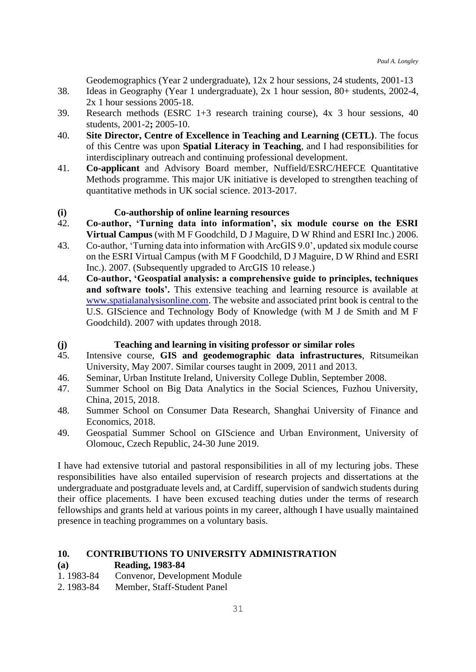Geodemographics (Year 2 undergraduate), 12x 2 hour sessions, 24 students, 2001-13

- 38. Ideas in Geography (Year 1 undergraduate), 2x 1 hour session, 80+ students, 2002-4, 2x 1 hour sessions 2005-18.
- 39. Research methods (ESRC 1+3 research training course), 4x 3 hour sessions, 40 students, 2001-2**;** 2005-10.
- 40. **Site Director, Centre of Excellence in Teaching and Learning (CETL)**. The focus of this Centre was upon **Spatial Literacy in Teaching**, and I had responsibilities for interdisciplinary outreach and continuing professional development.
- 41. **Co-applicant** and Advisory Board member, Nuffield/ESRC/HEFCE Quantitative Methods programme. This major UK initiative is developed to strengthen teaching of quantitative methods in UK social science. 2013-2017.

#### <span id="page-30-0"></span>**(i) Co-authorship of online learning resources**

- 42. **Co-author, 'Turning data into information', six module course on the ESRI Virtual Campus** (with M F Goodchild, D J Maguire, D W Rhind and ESRI Inc.) 2006.
- 43. Co-author, 'Turning data into information with ArcGIS 9.0', updated six module course on the ESRI Virtual Campus (with M F Goodchild, D J Maguire, D W Rhind and ESRI Inc.). 2007. (Subsequently upgraded to ArcGIS 10 release.)
- 44. **Co-author, 'Geospatial analysis: a comprehensive guide to principles, techniques and software tools'.** This extensive teaching and learning resource is available at [www.spatialanalysisonline.com.](http://www.spatialanalysisonline.com/) The website and associated print book is central to the U.S. GIScience and Technology Body of Knowledge (with M J de Smith and M F Goodchild). 2007 with updates through 2018.

#### <span id="page-30-1"></span>**(j) Teaching and learning in visiting professor or similar roles**

- 45. Intensive course, **GIS and geodemographic data infrastructures**, Ritsumeikan University, May 2007. Similar courses taught in 2009, 2011 and 2013.
- 46. Seminar, Urban Institute Ireland, University College Dublin, September 2008.
- 47. Summer School on Big Data Analytics in the Social Sciences, Fuzhou University, China, 2015, 2018.
- 48. Summer School on Consumer Data Research, Shanghai University of Finance and Economics, 2018.
- 49. Geospatial Summer School on GIScience and Urban Environment, University of Olomouc, Czech Republic, 24-30 June 2019.

I have had extensive tutorial and pastoral responsibilities in all of my lecturing jobs. These responsibilities have also entailed supervision of research projects and dissertations at the undergraduate and postgraduate levels and, at Cardiff, supervision of sandwich students during their office placements. I have been excused teaching duties under the terms of research fellowships and grants held at various points in my career, although I have usually maintained presence in teaching programmes on a voluntary basis.

# <span id="page-30-2"></span>**10. CONTRIBUTIONS TO UNIVERSITY ADMINISTRATION**

# <span id="page-30-3"></span>**(a) Reading, 1983-84**

- 1. 1983-84 Convenor, Development Module
- 2. 1983-84 Member, Staff-Student Panel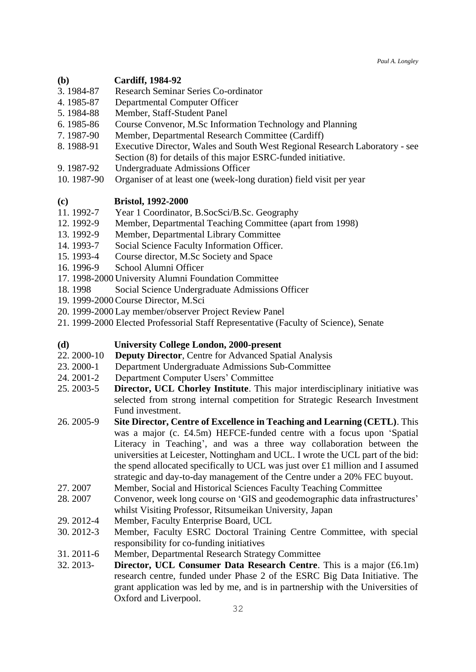#### <span id="page-31-0"></span>**(b) Cardiff, 1984-92**

- 3. 1984-87 Research Seminar Series Co-ordinator
- 4. 1985-87 Departmental Computer Officer
- 5. 1984-88 Member, Staff-Student Panel
- 6. 1985-86 Course Convenor, M.Sc Information Technology and Planning
- 7. 1987-90 Member, Departmental Research Committee (Cardiff)
- 8. 1988-91 Executive Director, Wales and South West Regional Research Laboratory see Section (8) for details of this major ESRC-funded initiative.
- 9. 1987-92 Undergraduate Admissions Officer
- 10. 1987-90 Organiser of at least one (week-long duration) field visit per year

#### <span id="page-31-1"></span>**(c) Bristol, 1992-2000**

- 11. 1992-7 Year 1 Coordinator, B.SocSci/B.Sc. Geography
- 12. 1992-9 Member, Departmental Teaching Committee (apart from 1998)<br>13. 1992-9 Member, Departmental Library Committee
- Member, Departmental Library Committee
- 14. 1993-7 Social Science Faculty Information Officer.
- 15. 1993-4 Course director, M.Sc Society and Space
- 16. 1996-9 School Alumni Officer
- 17. 1998-2000 University Alumni Foundation Committee
- 18. 1998 Social Science Undergraduate Admissions Officer
- 19. 1999-2000Course Director, M.Sci
- 20. 1999-2000 Lay member/observer Project Review Panel
- 21. 1999-2000 Elected Professorial Staff Representative (Faculty of Science), Senate

# <span id="page-31-2"></span>**(d) University College London, 2000-present**

- 22. 2000-10 **Deputy Director**, Centre for Advanced Spatial Analysis
- 23. 2000-1 Department Undergraduate Admissions Sub-Committee
- 24. 2001-2 Department Computer Users' Committee
- 25. 2003-5 **Director, UCL Chorley Institute**. This major interdisciplinary initiative was selected from strong internal competition for Strategic Research Investment Fund investment.
- 26. 2005-9 **Site Director, Centre of Excellence in Teaching and Learning (CETL)**. This was a major (c. £4.5m) HEFCE-funded centre with a focus upon 'Spatial Literacy in Teaching', and was a three way collaboration between the universities at Leicester, Nottingham and UCL. I wrote the UCL part of the bid: the spend allocated specifically to UCL was just over £1 million and I assumed strategic and day-to-day management of the Centre under a 20% FEC buyout.
- 27. 2007 Member, Social and Historical Sciences Faculty Teaching Committee
- 28. 2007 Convenor, week long course on 'GIS and geodemographic data infrastructures' whilst Visiting Professor, Ritsumeikan University, Japan
- 29. 2012-4 Member, Faculty Enterprise Board, UCL
- 30. 2012-3 Member, Faculty ESRC Doctoral Training Centre Committee, with special responsibility for co-funding initiatives
- 31. 2011-6 Member, Departmental Research Strategy Committee
- 32. 2013- **Director, UCL Consumer Data Research Centre**. This is a major (£6.1m) research centre, funded under Phase 2 of the ESRC Big Data Initiative. The grant application was led by me, and is in partnership with the Universities of Oxford and Liverpool.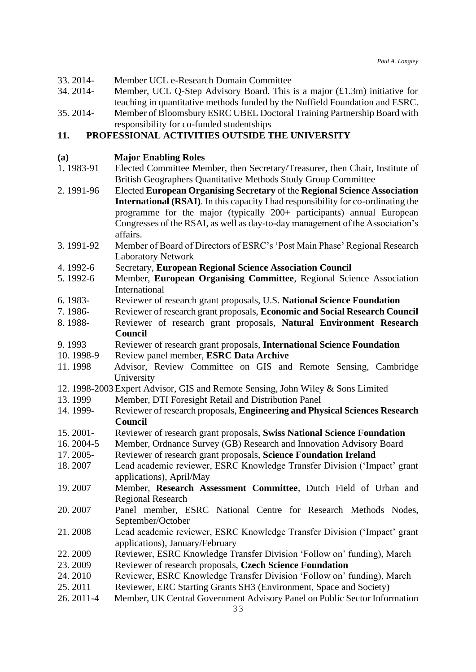<span id="page-32-1"></span><span id="page-32-0"></span>

| 33.2014-                                              | Member UCL e-Research Domain Committee                                                    |  |
|-------------------------------------------------------|-------------------------------------------------------------------------------------------|--|
| 34.2014-                                              | Member, UCL Q-Step Advisory Board. This is a major $(£1.3m)$ initiative for               |  |
|                                                       | teaching in quantitative methods funded by the Nuffield Foundation and ESRC.              |  |
| 35.2014-                                              | Member of Bloomsbury ESRC UBEL Doctoral Training Partnership Board with                   |  |
|                                                       | responsibility for co-funded studentships                                                 |  |
| PROFESSIONAL ACTIVITIES OUTSIDE THE UNIVERSITY<br>11. |                                                                                           |  |
| (a)                                                   | <b>Major Enabling Roles</b>                                                               |  |
| 1.1983-91                                             | Elected Committee Member, then Secretary/Treasurer, then Chair, Institute of              |  |
|                                                       | British Geographers Quantitative Methods Study Group Committee                            |  |
| 2.1991-96                                             | Elected European Organising Secretary of the Regional Science Association                 |  |
|                                                       | <b>International (RSAI)</b> . In this capacity I had responsibility for co-ordinating the |  |
|                                                       | programme for the major (typically 200+ participants) annual European                     |  |
|                                                       | Congresses of the RSAI, as well as day-to-day management of the Association's<br>affairs. |  |
| 3.1991-92                                             | Member of Board of Directors of ESRC's 'Post Main Phase' Regional Research                |  |
|                                                       | <b>Laboratory Network</b>                                                                 |  |
| 4.1992-6                                              | <b>Secretary, European Regional Science Association Council</b>                           |  |
| 5.1992-6                                              | Member, European Organising Committee, Regional Science Association                       |  |
|                                                       | International                                                                             |  |
| 6.1983-                                               | Reviewer of research grant proposals, U.S. National Science Foundation                    |  |
| 7.1986-                                               | Reviewer of research grant proposals, Economic and Social Research Council                |  |
| 8.1988-                                               | Reviewer of research grant proposals, Natural Environment Research<br>Council             |  |
| 9.1993                                                | Reviewer of research grant proposals, International Science Foundation                    |  |
| 10.1998-9                                             | Review panel member, ESRC Data Archive                                                    |  |
| 11.1998                                               | Advisor, Review Committee on GIS and Remote Sensing, Cambridge<br>University              |  |
|                                                       | 12. 1998-2003 Expert Advisor, GIS and Remote Sensing, John Wiley & Sons Limited           |  |
| 13.1999                                               | Member, DTI Foresight Retail and Distribution Panel                                       |  |
| 14.1999-                                              | Reviewer of research proposals, Engineering and Physical Sciences Research<br>Council     |  |
| 15.2001-                                              | Reviewer of research grant proposals, Swiss National Science Foundation                   |  |
| 16.2004-5                                             | Member, Ordnance Survey (GB) Research and Innovation Advisory Board                       |  |
| 17.2005-                                              | Reviewer of research grant proposals, Science Foundation Ireland                          |  |
| 18.2007                                               | Lead academic reviewer, ESRC Knowledge Transfer Division ('Impact' grant                  |  |
|                                                       | applications), April/May                                                                  |  |
| 19.2007                                               | Member, Research Assessment Committee, Dutch Field of Urban and                           |  |
|                                                       | <b>Regional Research</b>                                                                  |  |
| 20.2007                                               | Panel member, ESRC National Centre for Research Methods Nodes,<br>September/October       |  |
| 21.2008                                               | Lead academic reviewer, ESRC Knowledge Transfer Division ('Impact' grant                  |  |
|                                                       | applications), January/February                                                           |  |
| 22.2009                                               | Reviewer, ESRC Knowledge Transfer Division 'Follow on' funding), March                    |  |
| 23.2009                                               | Reviewer of research proposals, Czech Science Foundation                                  |  |
| 24.2010                                               | Reviewer, ESRC Knowledge Transfer Division 'Follow on' funding), March                    |  |
| 25.2011                                               | Reviewer, ERC Starting Grants SH3 (Environment, Space and Society)                        |  |
| 26.2011-4                                             | Member, UK Central Government Advisory Panel on Public Sector Information                 |  |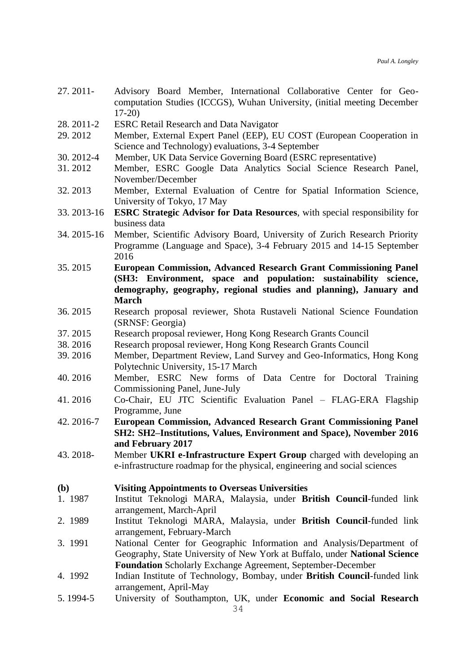- 27. 2011- Advisory Board Member, International Collaborative Center for Geocomputation Studies (ICCGS), Wuhan University, (initial meeting December 17-20)
- 28. 2011-2 ESRC Retail Research and Data Navigator
- 29. 2012 Member, External Expert Panel (EEP), EU COST (European Cooperation in Science and Technology) evaluations, 3-4 September
- 30. 2012-4 Member, UK Data Service Governing Board (ESRC representative)
- 31. 2012 Member, ESRC Google Data Analytics Social Science Research Panel, November/December
- 32. 2013 Member, External Evaluation of Centre for Spatial Information Science, University of Tokyo, 17 May
- 33. 2013-16 **ESRC Strategic Advisor for Data Resources**, with special responsibility for business data
- 34. 2015-16 Member, Scientific Advisory Board, University of Zurich Research Priority Programme (Language and Space), 3-4 February 2015 and 14-15 September 2016
- 35. 2015 **European Commission, Advanced Research Grant Commissioning Panel (SH3: Environment, space and population: sustainability science, demography, geography, regional studies and planning), January and March**
- 36. 2015 Research proposal reviewer, Shota Rustaveli National Science Foundation (SRNSF: Georgia)
- 37. 2015 Research proposal reviewer, Hong Kong Research Grants Council
- 38. 2016 Research proposal reviewer, Hong Kong Research Grants Council
- 39. 2016 Member, Department Review, Land Survey and Geo-Informatics, Hong Kong Polytechnic University, 15-17 March
- 40. 2016 Member, ESRC New forms of Data Centre for Doctoral Training Commissioning Panel, June-July
- 41. 2016 Co-Chair, EU JTC Scientific Evaluation Panel FLAG-ERA Flagship Programme, June
- 42. 2016-7 **European Commission, Advanced Research Grant Commissioning Panel SH2: SH2–Institutions, Values, Environment and Space), November 2016 and February 2017**
- 43. 2018- Member **UKRI e-Infrastructure Expert Group** charged with developing an e-infrastructure roadmap for the physical, engineering and social sciences

#### <span id="page-33-0"></span>**(b) Visiting Appointments to Overseas Universities**

- 1. 1987 Institut Teknologi MARA, Malaysia, under **British Council**-funded link arrangement, March-April
- 2. 1989 Institut Teknologi MARA, Malaysia, under **British Council**-funded link arrangement, February-March
- 3. 1991 National Center for Geographic Information and Analysis/Department of Geography, State University of New York at Buffalo, under **National Science Foundation** Scholarly Exchange Agreement, September-December
- 4. 1992 Indian Institute of Technology, Bombay, under **British Council**-funded link arrangement, April-May
- 5. 1994-5 University of Southampton, UK, under **Economic and Social Research**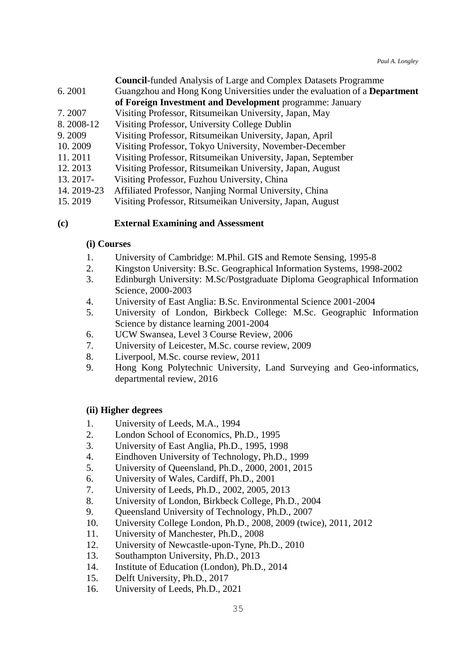- **Council**-funded Analysis of Large and Complex Datasets Programme
- 6. 2001 Guangzhou and Hong Kong Universities under the evaluation of a **Department of Foreign Investment and Development** programme: January
- 7. 2007 Visiting Professor, Ritsumeikan University, Japan, May
- 8. 2008-12 Visiting Professor, University College Dublin
- 9. 2009 Visiting Professor, Ritsumeikan University, Japan, April
- 10. 2009 Visiting Professor, Tokyo University, November-December
- 11. 2011 Visiting Professor, Ritsumeikan University, Japan, September
- 12. 2013 Visiting Professor, Ritsumeikan University, Japan, August
- 13. 2017- Visiting Professor, Fuzhou University, China
- 14. 2019-23 Affiliated Professor, Nanjing Normal University, China
- 15. 2019 Visiting Professor, Ritsumeikan University, Japan, August

#### <span id="page-34-0"></span>**(c) External Examining and Assessment**

#### <span id="page-34-1"></span>**(i) Courses**

- 1. University of Cambridge: M.Phil. GIS and Remote Sensing, 1995-8
- 2. Kingston University: B.Sc. Geographical Information Systems, 1998-2002
- 3. Edinburgh University: M.Sc/Postgraduate Diploma Geographical Information Science, 2000-2003
- 4. University of East Anglia: B.Sc. Environmental Science 2001-2004
- 5. University of London, Birkbeck College: M.Sc. Geographic Information Science by distance learning 2001-2004
- 6. UCW Swansea, Level 3 Course Review, 2006
- 7. University of Leicester, M.Sc. course review, 2009
- 8. Liverpool, M.Sc. course review, 2011
- 9. Hong Kong Polytechnic University, Land Surveying and Geo-informatics, departmental review, 2016

#### <span id="page-34-2"></span>**(ii) Higher degrees**

- 1. University of Leeds, M.A., 1994
- 2. London School of Economics, Ph.D., 1995
- 3. University of East Anglia, Ph.D., 1995, 1998
- 4. Eindhoven University of Technology, Ph.D., 1999
- 5. University of Queensland, Ph.D., 2000, 2001, 2015
- 6. University of Wales, Cardiff, Ph.D., 2001
- 7. University of Leeds, Ph.D., 2002, 2005, 2013
- 8. University of London, Birkbeck College, Ph.D., 2004
- 9. Queensland University of Technology, Ph.D., 2007
- 10. University College London, Ph.D., 2008, 2009 (twice), 2011, 2012
- 11. University of Manchester, Ph.D., 2008
- 12. University of Newcastle-upon-Tyne, Ph.D., 2010
- 13. Southampton University, Ph.D., 2013
- 14. Institute of Education (London), Ph.D., 2014
- 15. Delft University, Ph.D., 2017
- 16. University of Leeds, Ph.D., 2021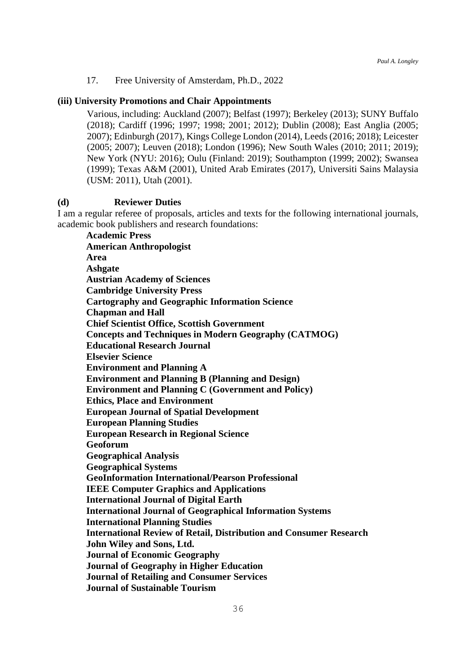17. Free University of Amsterdam, Ph.D., 2022

#### <span id="page-35-0"></span>**(iii) University Promotions and Chair Appointments**

Various, including: Auckland (2007); Belfast (1997); Berkeley (2013); SUNY Buffalo (2018); Cardiff (1996; 1997; 1998; 2001; 2012); Dublin (2008); East Anglia (2005; 2007); Edinburgh (2017), Kings College London (2014), Leeds (2016; 2018); Leicester (2005; 2007); Leuven (2018); London (1996); New South Wales (2010; 2011; 2019); New York (NYU: 2016); Oulu (Finland: 2019); Southampton (1999; 2002); Swansea (1999); Texas A&M (2001), United Arab Emirates (2017), Universiti Sains Malaysia (USM: 2011), Utah (2001).

#### <span id="page-35-1"></span>**(d) Reviewer Duties**

I am a regular referee of proposals, articles and texts for the following international journals, academic book publishers and research foundations:

**Academic Press American Anthropologist Area Ashgate Austrian Academy of Sciences Cambridge University Press Cartography and Geographic Information Science Chapman and Hall Chief Scientist Office, Scottish Government Concepts and Techniques in Modern Geography (CATMOG) Educational Research Journal Elsevier Science Environment and Planning A Environment and Planning B (Planning and Design) Environment and Planning C (Government and Policy) Ethics, Place and Environment European Journal of Spatial Development European Planning Studies European Research in Regional Science Geoforum Geographical Analysis Geographical Systems GeoInformation International/Pearson Professional IEEE Computer Graphics and Applications International Journal of Digital Earth International Journal of Geographical Information Systems International Planning Studies International Review of Retail, Distribution and Consumer Research John Wiley and Sons, Ltd. Journal of Economic Geography Journal of Geography in Higher Education Journal of Retailing and Consumer Services Journal of Sustainable Tourism**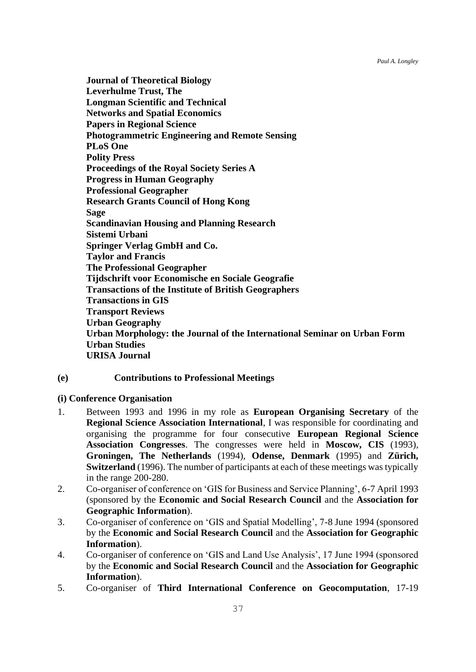**Journal of Theoretical Biology Leverhulme Trust, The Longman Scientific and Technical Networks and Spatial Economics Papers in Regional Science Photogrammetric Engineering and Remote Sensing PLoS One Polity Press Proceedings of the Royal Society Series A Progress in Human Geography Professional Geographer Research Grants Council of Hong Kong Sage Scandinavian Housing and Planning Research Sistemi Urbani Springer Verlag GmbH and Co. Taylor and Francis The Professional Geographer Tijdschrift voor Economische en Sociale Geografie Transactions of the Institute of British Geographers Transactions in GIS Transport Reviews Urban Geography Urban Morphology: the Journal of the International Seminar on Urban Form Urban Studies URISA Journal**

# <span id="page-36-1"></span><span id="page-36-0"></span>**(e) Contributions to Professional Meetings**

**(i) Conference Organisation**

- 1. Between 1993 and 1996 in my role as **European Organising Secretary** of the **Regional Science Association International**, I was responsible for coordinating and organising the programme for four consecutive **European Regional Science Association Congresses**. The congresses were held in **Moscow, CIS** (1993), **Groningen, The Netherlands** (1994), **Odense, Denmark** (1995) and **Zürich, Switzerland** (1996). The number of participants at each of these meetings was typically in the range 200-280.
- 2. Co-organiser of conference on 'GIS for Business and Service Planning', 6-7 April 1993 (sponsored by the **Economic and Social Research Council** and the **Association for Geographic Information**).
- 3. Co-organiser of conference on 'GIS and Spatial Modelling', 7-8 June 1994 (sponsored by the **Economic and Social Research Council** and the **Association for Geographic Information**).
- 4. Co-organiser of conference on 'GIS and Land Use Analysis', 17 June 1994 (sponsored by the **Economic and Social Research Council** and the **Association for Geographic Information**).
- 5. Co-organiser of **Third International Conference on Geocomputation**, 17-19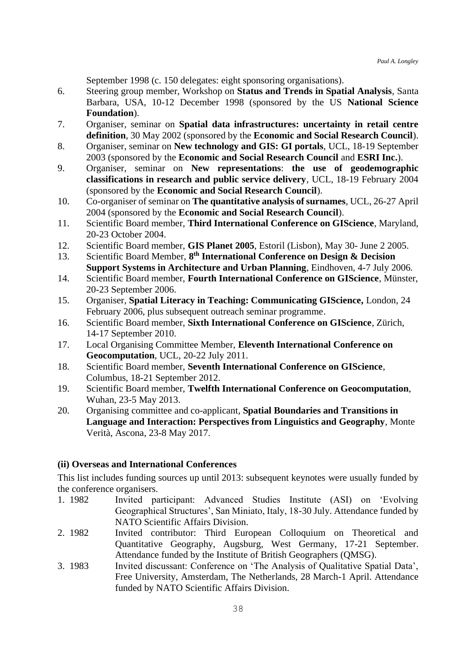September 1998 (c. 150 delegates: eight sponsoring organisations).

- 6. Steering group member, Workshop on **Status and Trends in Spatial Analysis**, Santa Barbara, USA, 10-12 December 1998 (sponsored by the US **National Science Foundation**).
- 7. Organiser, seminar on **Spatial data infrastructures: uncertainty in retail centre definition**, 30 May 2002 (sponsored by the **Economic and Social Research Council**).
- 8. Organiser, seminar on **New technology and GIS: GI portals**, UCL, 18-19 September 2003 (sponsored by the **Economic and Social Research Council** and **ESRI Inc.**).
- 9. Organiser, seminar on **New representations**: **the use of geodemographic classifications in research and public service delivery**, UCL, 18-19 February 2004 (sponsored by the **Economic and Social Research Council**).
- 10. Co-organiser of seminar on **The quantitative analysis of surnames**, UCL, 26-27 April 2004 (sponsored by the **Economic and Social Research Council**).
- 11. Scientific Board member, **Third International Conference on GIScience**, Maryland, 20-23 October 2004.
- 12. Scientific Board member, **GIS Planet 2005**, Estoril (Lisbon), May 30- June 2 2005.
- 13. Scientific Board Member, 8<sup>th</sup> **International Conference on Design & Decision Support Systems in Architecture and Urban Planning**, Eindhoven, 4-7 July 2006.
- 14. Scientific Board member, **Fourth International Conference on GIScience**, Münster, 20-23 September 2006.
- 15. Organiser, **Spatial Literacy in Teaching: Communicating GIScience,** London, 24 February 2006, plus subsequent outreach seminar programme.
- 16. Scientific Board member, **Sixth International Conference on GIScience**, Zürich, 14-17 September 2010.
- 17. Local Organising Committee Member, **Eleventh International Conference on Geocomputation**, UCL, 20-22 July 2011.
- 18. Scientific Board member, **Seventh International Conference on GIScience**, Columbus, 18-21 September 2012.
- 19. Scientific Board member, **Twelfth International Conference on Geocomputation**, Wuhan, 23-5 May 2013.
- 20. Organising committee and co-applicant, **Spatial Boundaries and Transitions in Language and Interaction: Perspectives from Linguistics and Geography**, Monte Verità, Ascona, 23-8 May 2017.

#### <span id="page-37-0"></span>**(ii) Overseas and International Conferences**

This list includes funding sources up until 2013: subsequent keynotes were usually funded by the conference organisers.

- 1. 1982 Invited participant: Advanced Studies Institute (ASI) on 'Evolving Geographical Structures', San Miniato, Italy, 18-30 July. Attendance funded by NATO Scientific Affairs Division.
- 2. 1982 Invited contributor: Third European Colloquium on Theoretical and Quantitative Geography, Augsburg, West Germany, 17-21 September. Attendance funded by the Institute of British Geographers (QMSG).
- 3. 1983 Invited discussant: Conference on 'The Analysis of Qualitative Spatial Data', Free University, Amsterdam, The Netherlands, 28 March-1 April. Attendance funded by NATO Scientific Affairs Division.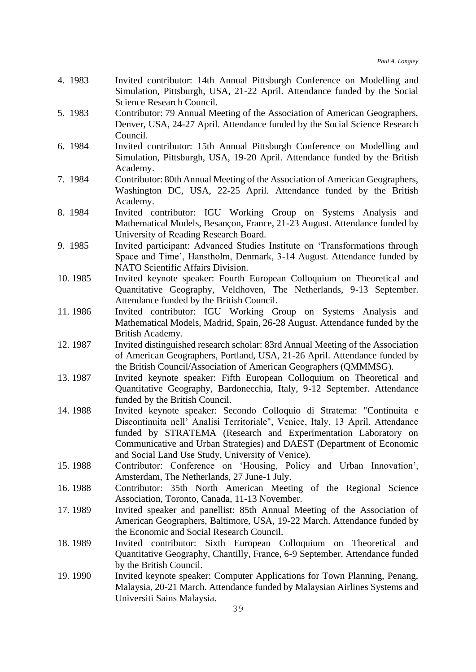- 4. 1983 Invited contributor: 14th Annual Pittsburgh Conference on Modelling and Simulation, Pittsburgh, USA, 21-22 April. Attendance funded by the Social Science Research Council.
- 5. 1983 Contributor: 79 Annual Meeting of the Association of American Geographers, Denver, USA, 24-27 April. Attendance funded by the Social Science Research Council.
- 6. 1984 Invited contributor: 15th Annual Pittsburgh Conference on Modelling and Simulation, Pittsburgh, USA, 19-20 April. Attendance funded by the British Academy.
- 7. 1984 Contributor: 80th Annual Meeting of the Association of American Geographers, Washington DC, USA, 22-25 April. Attendance funded by the British Academy.
- 8. 1984 Invited contributor: IGU Working Group on Systems Analysis and Mathematical Models, Besançon, France, 21-23 August. Attendance funded by University of Reading Research Board.
- 9. 1985 Invited participant: Advanced Studies Institute on 'Transformations through Space and Time', Hanstholm, Denmark, 3-14 August. Attendance funded by NATO Scientific Affairs Division.
- 10. 1985 Invited keynote speaker: Fourth European Colloquium on Theoretical and Quantitative Geography, Veldhoven, The Netherlands, 9-13 September. Attendance funded by the British Council.
- 11. 1986 Invited contributor: IGU Working Group on Systems Analysis and Mathematical Models, Madrid, Spain, 26-28 August. Attendance funded by the British Academy.
- 12. 1987 Invited distinguished research scholar: 83rd Annual Meeting of the Association of American Geographers, Portland, USA, 21-26 April. Attendance funded by the British Council/Association of American Geographers (QMMMSG).
- 13. 1987 Invited keynote speaker: Fifth European Colloquium on Theoretical and Quantitative Geography, Bardonecchia, Italy, 9-12 September. Attendance funded by the British Council.
- 14. 1988 Invited keynote speaker: Secondo Colloquio di Stratema: "Continuita e Discontinuita nell' Analisi Territoriale", Venice, Italy, 13 April. Attendance funded by STRATEMA (Research and Experimentation Laboratory on Communicative and Urban Strategies) and DAEST (Department of Economic and Social Land Use Study, University of Venice).
- 15. 1988 Contributor: Conference on 'Housing, Policy and Urban Innovation', Amsterdam, The Netherlands, 27 June-1 July.
- 16. 1988 Contributor: 35th North American Meeting of the Regional Science Association, Toronto, Canada, 11-13 November.
- 17. 1989 Invited speaker and panellist: 85th Annual Meeting of the Association of American Geographers, Baltimore, USA, 19-22 March. Attendance funded by the Economic and Social Research Council.
- 18. 1989 Invited contributor: Sixth European Colloquium on Theoretical and Quantitative Geography, Chantilly, France, 6-9 September. Attendance funded by the British Council.
- 19. 1990 Invited keynote speaker: Computer Applications for Town Planning, Penang, Malaysia, 20-21 March. Attendance funded by Malaysian Airlines Systems and Universiti Sains Malaysia.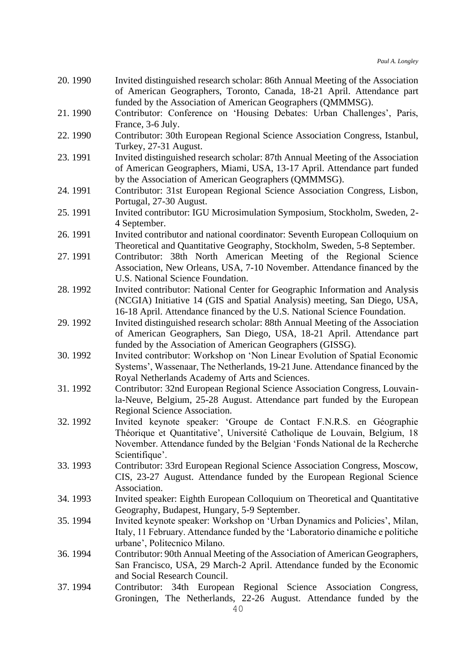- 20. 1990 Invited distinguished research scholar: 86th Annual Meeting of the Association of American Geographers, Toronto, Canada, 18-21 April. Attendance part funded by the Association of American Geographers (QMMMSG).
- 21. 1990 Contributor: Conference on 'Housing Debates: Urban Challenges', Paris, France, 3-6 July.
- 22. 1990 Contributor: 30th European Regional Science Association Congress, Istanbul, Turkey, 27-31 August.
- 23. 1991 Invited distinguished research scholar: 87th Annual Meeting of the Association of American Geographers, Miami, USA, 13-17 April. Attendance part funded by the Association of American Geographers (QMMMSG).
- 24. 1991 Contributor: 31st European Regional Science Association Congress, Lisbon, Portugal, 27-30 August.
- 25. 1991 Invited contributor: IGU Microsimulation Symposium, Stockholm, Sweden, 2- 4 September.
- 26. 1991 Invited contributor and national coordinator: Seventh European Colloquium on Theoretical and Quantitative Geography, Stockholm, Sweden, 5-8 September.
- 27. 1991 Contributor: 38th North American Meeting of the Regional Science Association, New Orleans, USA, 7-10 November. Attendance financed by the U.S. National Science Foundation.
- 28. 1992 Invited contributor: National Center for Geographic Information and Analysis (NCGIA) Initiative 14 (GIS and Spatial Analysis) meeting, San Diego, USA, 16-18 April. Attendance financed by the U.S. National Science Foundation.
- 29. 1992 Invited distinguished research scholar: 88th Annual Meeting of the Association of American Geographers, San Diego, USA, 18-21 April. Attendance part funded by the Association of American Geographers (GISSG).
- 30. 1992 Invited contributor: Workshop on 'Non Linear Evolution of Spatial Economic Systems', Wassenaar, The Netherlands, 19-21 June. Attendance financed by the Royal Netherlands Academy of Arts and Sciences.
- 31. 1992 Contributor: 32nd European Regional Science Association Congress, Louvainla-Neuve, Belgium, 25-28 August. Attendance part funded by the European Regional Science Association.
- 32. 1992 Invited keynote speaker: 'Groupe de Contact F.N.R.S. en Géographie Théorique et Quantitative', Université Catholique de Louvain, Belgium, 18 November. Attendance funded by the Belgian 'Fonds National de la Recherche Scientifique'.
- 33. 1993 Contributor: 33rd European Regional Science Association Congress, Moscow, CIS, 23-27 August. Attendance funded by the European Regional Science Association.
- 34. 1993 Invited speaker: Eighth European Colloquium on Theoretical and Quantitative Geography, Budapest, Hungary, 5-9 September.
- 35. 1994 Invited keynote speaker: Workshop on 'Urban Dynamics and Policies', Milan, Italy, 11 February. Attendance funded by the 'Laboratorio dinamiche e politiche urbane', Politecnico Milano.
- 36. 1994 Contributor: 90th Annual Meeting of the Association of American Geographers, San Francisco, USA, 29 March-2 April. Attendance funded by the Economic and Social Research Council.
- 37. 1994 Contributor: 34th European Regional Science Association Congress, Groningen, The Netherlands, 22-26 August. Attendance funded by the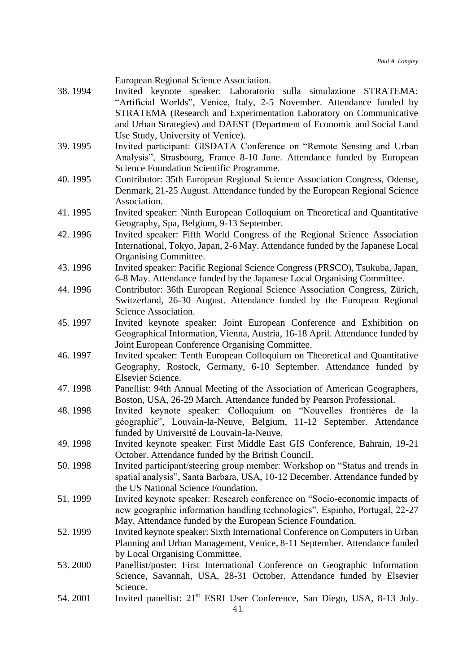|         | European Regional Science Association.                                                                             |
|---------|--------------------------------------------------------------------------------------------------------------------|
| 38.1994 | Invited keynote speaker: Laboratorio sulla simulazione STRATEMA:                                                   |
|         | "Artificial Worlds", Venice, Italy, 2-5 November. Attendance funded by                                             |
|         | STRATEMA (Research and Experimentation Laboratory on Communicative                                                 |
|         | and Urban Strategies) and DAEST (Department of Economic and Social Land                                            |
|         | Use Study, University of Venice).                                                                                  |
| 39.1995 | Invited participant: GISDATA Conference on "Remote Sensing and Urban                                               |
|         | Analysis", Strasbourg, France 8-10 June. Attendance funded by European                                             |
|         | Science Foundation Scientific Programme.                                                                           |
| 40.1995 | Contributor: 35th European Regional Science Association Congress, Odense,                                          |
|         | Denmark, 21-25 August. Attendance funded by the European Regional Science                                          |
|         | Association.                                                                                                       |
| 41.1995 | Invited speaker: Ninth European Colloquium on Theoretical and Quantitative                                         |
|         | Geography, Spa, Belgium, 9-13 September.                                                                           |
| 42.1996 | Invited speaker: Fifth World Congress of the Regional Science Association                                          |
|         | International, Tokyo, Japan, 2-6 May. Attendance funded by the Japanese Local                                      |
|         | Organising Committee.                                                                                              |
| 43.1996 | Invited speaker: Pacific Regional Science Congress (PRSCO), Tsukuba, Japan,                                        |
|         | 6-8 May. Attendance funded by the Japanese Local Organising Committee.                                             |
| 44.1996 | Contributor: 36th European Regional Science Association Congress, Zürich,                                          |
|         | Switzerland, 26-30 August. Attendance funded by the European Regional                                              |
|         | Science Association.                                                                                               |
| 45.1997 | Invited keynote speaker: Joint European Conference and Exhibition on                                               |
|         | Geographical Information, Vienna, Austria, 16-18 April. Attendance funded by                                       |
|         | Joint European Conference Organising Committee.                                                                    |
| 46.1997 | Invited speaker: Tenth European Colloquium on Theoretical and Quantitative                                         |
|         | Geography, Rostock, Germany, 6-10 September. Attendance funded by                                                  |
|         | Elsevier Science.                                                                                                  |
| 47.1998 | Panellist: 94th Annual Meeting of the Association of American Geographers,                                         |
|         | Boston, USA, 26-29 March. Attendance funded by Pearson Professional.                                               |
| 48.1998 | Invited keynote speaker: Colloquium on "Nouvelles frontières de la                                                 |
|         | géographie", Louvain-la-Neuve, Belgium, 11-12 September. Attendance                                                |
|         | funded by Université de Louvain-la-Neuve.                                                                          |
| 49.1998 | Invited keynote speaker: First Middle East GIS Conference, Bahrain, 19-21                                          |
|         | October. Attendance funded by the British Council.                                                                 |
| 50.1998 | Invited participant/steering group member: Workshop on "Status and trends in                                       |
|         | spatial analysis", Santa Barbara, USA, 10-12 December. Attendance funded by<br>the US National Science Foundation. |
| 51.1999 | Invited keynote speaker: Research conference on "Socio-economic impacts of                                         |
|         | new geographic information handling technologies", Espinho, Portugal, 22-27                                        |
|         | May. Attendance funded by the European Science Foundation.                                                         |
| 52.1999 | Invited keynote speaker: Sixth International Conference on Computers in Urban                                      |
|         | Planning and Urban Management, Venice, 8-11 September. Attendance funded                                           |
|         | by Local Organising Committee.                                                                                     |
| 53.2000 | Panellist/poster: First International Conference on Geographic Information                                         |
|         | Science, Savannah, USA, 28-31 October. Attendance funded by Elsevier                                               |
|         | Science.                                                                                                           |
| 54.2001 | Invited panellist: 21 <sup>st</sup> ESRI User Conference, San Diego, USA, 8-13 July.                               |

41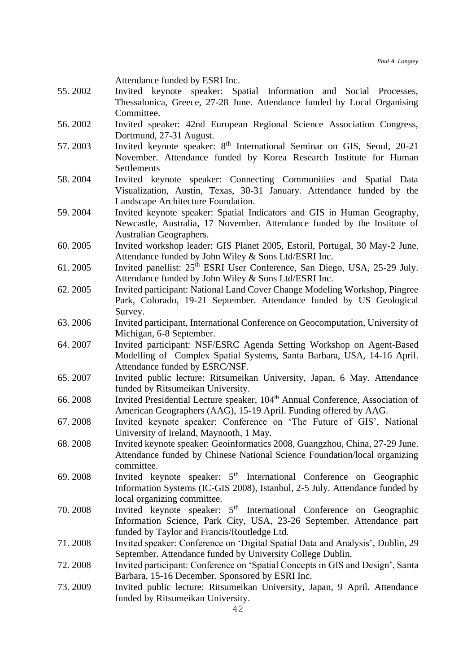Attendance funded by ESRI Inc.

- 55. 2002 Invited keynote speaker: Spatial Information and Social Processes, Thessalonica, Greece, 27-28 June. Attendance funded by Local Organising Committee.
- 56. 2002 Invited speaker: 42nd European Regional Science Association Congress, Dortmund, 27-31 August.
- 57. 2003 Invited keynote speaker: 8th International Seminar on GIS, Seoul, 20-21 November. Attendance funded by Korea Research Institute for Human Settlements
- 58. 2004 Invited keynote speaker: Connecting Communities and Spatial Data Visualization, Austin, Texas, 30-31 January. Attendance funded by the Landscape Architecture Foundation.
- 59. 2004 Invited keynote speaker: Spatial Indicators and GIS in Human Geography, Newcastle, Australia, 17 November. Attendance funded by the Institute of Australian Geographers.
- 60. 2005 Invited workshop leader: GIS Planet 2005, Estoril, Portugal, 30 May-2 June. Attendance funded by John Wiley & Sons Ltd/ESRI Inc.
- 61. 2005 Invited panellist: 25<sup>th</sup> ESRI User Conference, San Diego, USA, 25-29 July. Attendance funded by John Wiley & Sons Ltd/ESRI Inc.
- 62. 2005 Invited participant: National Land Cover Change Modeling Workshop, Pingree Park, Colorado, 19-21 September. Attendance funded by US Geological Survey.
- 63. 2006 Invited participant, International Conference on Geocomputation, University of Michigan, 6-8 September.
- 64. 2007 Invited participant: NSF/ESRC Agenda Setting Workshop on Agent-Based Modelling of Complex Spatial Systems, Santa Barbara, USA, 14-16 April. Attendance funded by ESRC/NSF.
- 65. 2007 Invited public lecture: Ritsumeikan University, Japan, 6 May. Attendance funded by Ritsumeikan University.
- 66. 2008 Invited Presidential Lecture speaker, 104th Annual Conference, Association of American Geographers (AAG), 15-19 April. Funding offered by AAG.
- 67. 2008 Invited keynote speaker: Conference on 'The Future of GIS', National University of Ireland, Maynooth, 1 May.
- 68. 2008 Invited keynote speaker: Geoinformatics 2008, Guangzhou, China, 27-29 June. Attendance funded by Chinese National Science Foundation/local organizing committee.
- 69. 2008 Invited keynote speaker:  $5<sup>th</sup>$  International Conference on Geographic Information Systems (IC-GIS 2008), Istanbul, 2-5 July. Attendance funded by local organizing committee.
- 70. 2008 Invited keynote speaker:  $5<sup>th</sup>$  International Conference on Geographic Information Science, Park City, USA, 23-26 September. Attendance part funded by Taylor and Francis/Routledge Ltd.
- 71. 2008 Invited speaker: Conference on 'Digital Spatial Data and Analysis', Dublin, 29 September. Attendance funded by University College Dublin.
- 72. 2008 Invited participant: Conference on 'Spatial Concepts in GIS and Design', Santa Barbara, 15-16 December. Sponsored by ESRI Inc.
- 73. 2009 Invited public lecture: Ritsumeikan University, Japan, 9 April. Attendance funded by Ritsumeikan University.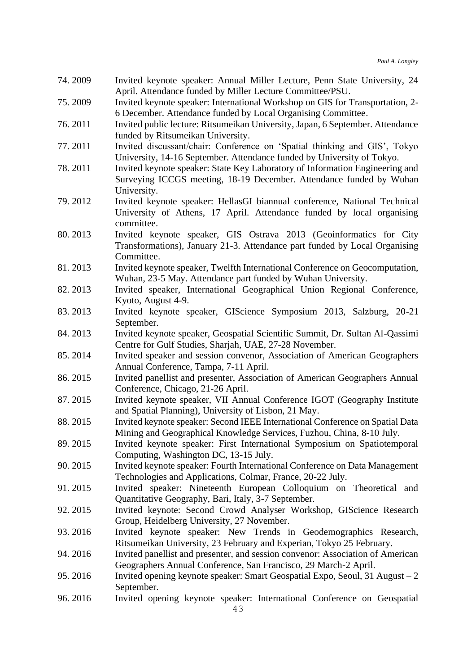- 74. 2009 Invited keynote speaker: Annual Miller Lecture, Penn State University, 24 April. Attendance funded by Miller Lecture Committee/PSU.
- 75. 2009 Invited keynote speaker: International Workshop on GIS for Transportation, 2- 6 December. Attendance funded by Local Organising Committee.
- 76. 2011 Invited public lecture: Ritsumeikan University, Japan, 6 September. Attendance funded by Ritsumeikan University.
- 77. 2011 Invited discussant/chair: Conference on 'Spatial thinking and GIS', Tokyo University, 14-16 September. Attendance funded by University of Tokyo.
- 78. 2011 Invited keynote speaker: State Key Laboratory of Information Engineering and Surveying ICCGS meeting, 18-19 December. Attendance funded by Wuhan University.
- 79. 2012 Invited keynote speaker: HellasGI biannual conference, National Technical University of Athens, 17 April. Attendance funded by local organising committee.
- 80. 2013 Invited keynote speaker, GIS Ostrava 2013 (Geoinformatics for City Transformations), January 21-3. Attendance part funded by Local Organising Committee.
- 81. 2013 Invited keynote speaker, Twelfth International Conference on Geocomputation, Wuhan, 23-5 May. Attendance part funded by Wuhan University.
- 82. 2013 Invited speaker, International Geographical Union Regional Conference, Kyoto, August 4-9.
- 83. 2013 Invited keynote speaker, GIScience Symposium 2013, Salzburg, 20-21 September.
- 84. 2013 Invited keynote speaker, Geospatial Scientific Summit, Dr. Sultan Al-Qassimi Centre for Gulf Studies, Sharjah, UAE, 27-28 November.
- 85. 2014 Invited speaker and session convenor, Association of American Geographers Annual Conference, Tampa, 7-11 April.
- 86. 2015 Invited panellist and presenter, Association of American Geographers Annual Conference, Chicago, 21-26 April.
- 87. 2015 Invited keynote speaker, VII Annual Conference IGOT (Geography Institute and Spatial Planning), University of Lisbon, 21 May.
- 88. 2015 Invited keynote speaker: Second IEEE International Conference on Spatial Data Mining and Geographical Knowledge Services, Fuzhou, China, 8-10 July.
- 89. 2015 Invited keynote speaker: First International Symposium on Spatiotemporal Computing, Washington DC, 13-15 July.
- 90. 2015 Invited keynote speaker: Fourth International Conference on Data Management Technologies and Applications, Colmar, France, 20-22 July.
- 91. 2015 Invited speaker: Nineteenth European Colloquium on Theoretical and Quantitative Geography, Bari, Italy, 3-7 September.
- 92. 2015 Invited keynote: Second Crowd Analyser Workshop, GIScience Research Group, Heidelberg University, 27 November.
- 93. 2016 Invited keynote speaker: New Trends in Geodemographics Research, Ritsumeikan University, 23 February and Experian, Tokyo 25 February.
- 94. 2016 Invited panellist and presenter, and session convenor: Association of American Geographers Annual Conference, San Francisco, 29 March-2 April.
- 95. 2016 Invited opening keynote speaker: Smart Geospatial Expo, Seoul, 31 August 2 September.
- 43 96. 2016 Invited opening keynote speaker: International Conference on Geospatial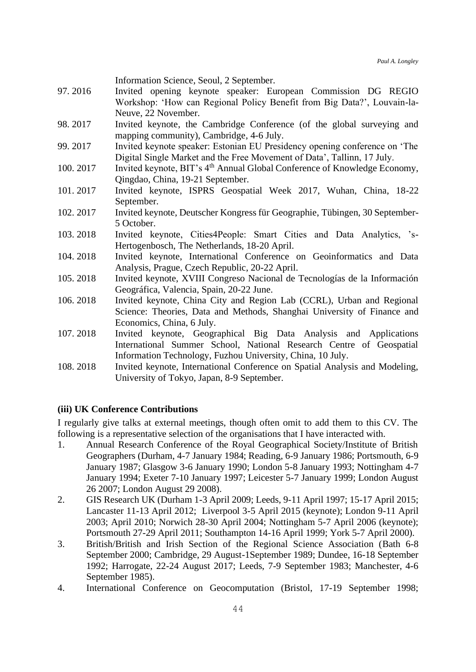Information Science, Seoul, 2 September.

- 97. 2016 Invited opening keynote speaker: European Commission DG REGIO Workshop: 'How can Regional Policy Benefit from Big Data?', Louvain-la-Neuve, 22 November.
- 98. 2017 Invited keynote, the Cambridge Conference (of the global surveying and mapping community), Cambridge, 4-6 July.
- 99. 2017 Invited keynote speaker: Estonian EU Presidency opening conference on 'The Digital Single Market and the Free Movement of Data', Tallinn, 17 July.
- 100. 2017 Invited keynote, BIT's 4<sup>th</sup> Annual Global Conference of Knowledge Economy, Qingdao, China, 19-21 September.
- 101. 2017 Invited keynote, ISPRS Geospatial Week 2017, Wuhan, China, 18-22 September.
- 102. 2017 Invited keynote, Deutscher Kongress für Geographie, Tübingen, 30 September-5 October.
- 103. 2018 Invited keynote, Cities4People: Smart Cities and Data Analytics, 's-Hertogenbosch, The Netherlands, 18-20 April.
- 104. 2018 Invited keynote, International Conference on Geoinformatics and Data Analysis, Prague, Czech Republic, 20-22 April.
- 105. 2018 Invited keynote, XVIII Congreso Nacional de Tecnologías de la Información Geográfica, Valencia, Spain, 20-22 June.
- 106. 2018 Invited keynote, China City and Region Lab (CCRL), Urban and Regional Science: Theories, Data and Methods, Shanghai University of Finance and Economics, China, 6 July.
- 107. 2018 Invited keynote, Geographical Big Data Analysis and Applications International Summer School, National Research Centre of Geospatial Information Technology, Fuzhou University, China, 10 July.
- 108. 2018 Invited keynote, International Conference on Spatial Analysis and Modeling, University of Tokyo, Japan, 8-9 September.

#### <span id="page-43-0"></span>**(iii) UK Conference Contributions**

I regularly give talks at external meetings, though often omit to add them to this CV. The following is a representative selection of the organisations that I have interacted with.

- 1. Annual Research Conference of the Royal Geographical Society/Institute of British Geographers (Durham, 4-7 January 1984; Reading, 6-9 January 1986; Portsmouth, 6-9 January 1987; Glasgow 3-6 January 1990; London 5-8 January 1993; Nottingham 4-7 January 1994; Exeter 7-10 January 1997; Leicester 5-7 January 1999; London August 26 2007; London August 29 2008).
- 2. GIS Research UK (Durham 1-3 April 2009; Leeds, 9-11 April 1997; 15-17 April 2015; Lancaster 11-13 April 2012; Liverpool 3-5 April 2015 (keynote); London 9-11 April 2003; April 2010; Norwich 28-30 April 2004; Nottingham 5-7 April 2006 (keynote); Portsmouth 27-29 April 2011; Southampton 14-16 April 1999; York 5-7 April 2000).
- 3. British/British and Irish Section of the Regional Science Association (Bath 6-8 September 2000; Cambridge, 29 August-1September 1989; Dundee, 16-18 September 1992; Harrogate, 22-24 August 2017; Leeds, 7-9 September 1983; Manchester, 4-6 September 1985).
- 4. International Conference on Geocomputation (Bristol, 17-19 September 1998;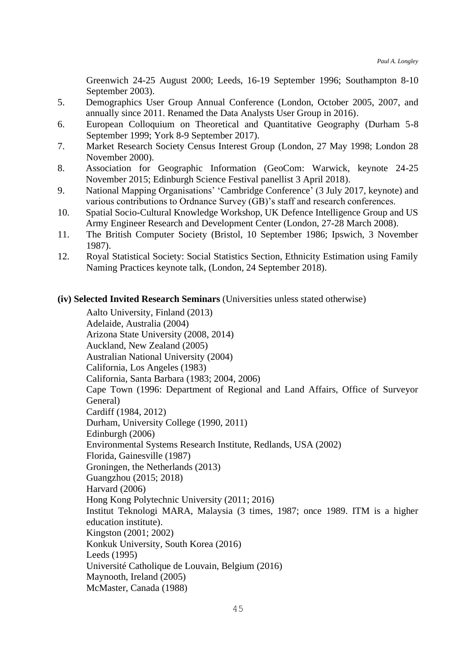Greenwich 24-25 August 2000; Leeds, 16-19 September 1996; Southampton 8-10 September 2003).

- 5. Demographics User Group Annual Conference (London, October 2005, 2007, and annually since 2011. Renamed the Data Analysts User Group in 2016).
- 6. European Colloquium on Theoretical and Quantitative Geography (Durham 5-8 September 1999; York 8-9 September 2017).
- 7. Market Research Society Census Interest Group (London, 27 May 1998; London 28 November 2000).
- 8. Association for Geographic Information (GeoCom: Warwick, keynote 24-25 November 2015; Edinburgh Science Festival panellist 3 April 2018).
- 9. National Mapping Organisations' 'Cambridge Conference' (3 July 2017, keynote) and various contributions to Ordnance Survey (GB)'s staff and research conferences.
- 10. Spatial Socio-Cultural Knowledge Workshop, UK Defence Intelligence Group and US Army Engineer Research and Development Center (London, 27-28 March 2008).
- 11. The British Computer Society (Bristol, 10 September 1986; Ipswich, 3 November 1987).
- 12. Royal Statistical Society: Social Statistics Section, Ethnicity Estimation using Family Naming Practices keynote talk, (London, 24 September 2018).

<span id="page-44-0"></span>**(iv) Selected Invited Research Seminars** (Universities unless stated otherwise)

Aalto University, Finland (2013) Adelaide, Australia (2004) Arizona State University (2008, 2014) Auckland, New Zealand (2005) Australian National University (2004) California, Los Angeles (1983) California, Santa Barbara (1983; 2004, 2006) Cape Town (1996: Department of Regional and Land Affairs, Office of Surveyor General) Cardiff (1984, 2012) Durham, University College (1990, 2011) Edinburgh (2006) Environmental Systems Research Institute, Redlands, USA (2002) Florida, Gainesville (1987) Groningen, the Netherlands (2013) Guangzhou (2015; 2018) Harvard (2006) Hong Kong Polytechnic University (2011; 2016) Institut Teknologi MARA, Malaysia (3 times, 1987; once 1989. ITM is a higher education institute). Kingston (2001; 2002) Konkuk University, South Korea (2016) Leeds (1995) Université Catholique de Louvain, Belgium (2016) Maynooth, Ireland (2005) McMaster, Canada (1988)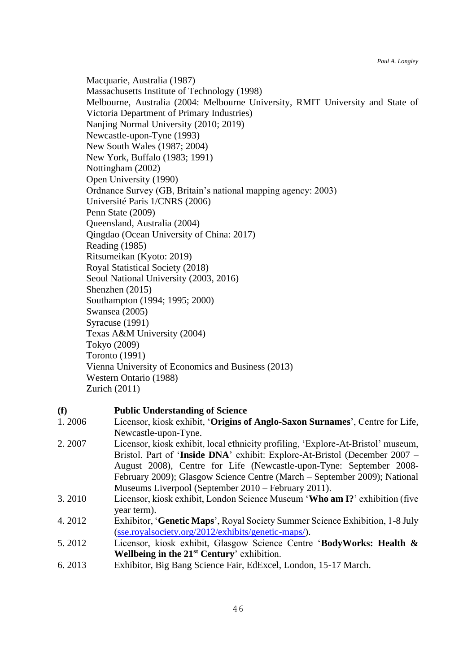Macquarie, Australia (1987) Massachusetts Institute of Technology (1998) Melbourne, Australia (2004: Melbourne University, RMIT University and State of Victoria Department of Primary Industries) Nanjing Normal University (2010; 2019) Newcastle-upon-Tyne (1993) New South Wales (1987; 2004) New York, Buffalo (1983; 1991) Nottingham (2002) Open University (1990) Ordnance Survey (GB, Britain's national mapping agency: 2003) Université Paris 1/CNRS (2006) Penn State (2009) Queensland, Australia (2004) Qingdao (Ocean University of China: 2017) Reading (1985) Ritsumeikan (Kyoto: 2019) Royal Statistical Society (2018) Seoul National University (2003, 2016) Shenzhen (2015) Southampton (1994; 1995; 2000) Swansea (2005) Syracuse (1991) Texas A&M University (2004) Tokyo (2009) Toronto (1991) Vienna University of Economics and Business (2013) Western Ontario (1988) Zurich (2011)

# <span id="page-45-0"></span>**(f) Public Understanding of Science**

- 1. 2006 Licensor, kiosk exhibit, '**Origins of Anglo-Saxon Surnames**', Centre for Life, Newcastle-upon-Tyne.
- 2. 2007 Licensor, kiosk exhibit, local ethnicity profiling, 'Explore-At-Bristol' museum, Bristol. Part of '**Inside DNA**' exhibit: Explore-At-Bristol (December 2007 – August 2008), Centre for Life (Newcastle-upon-Tyne: September 2008- February 2009); Glasgow Science Centre (March – September 2009); National Museums Liverpool (September 2010 – February 2011).
- 3. 2010 Licensor, kiosk exhibit, London Science Museum '**Who am I?**' exhibition (five year term).
- 4. 2012 Exhibitor, '**Genetic Maps**', Royal Society Summer Science Exhibition, 1-8 July (sse.royalsociety.org/2012/exhibits/genetic-maps/).
- 5. 2012 Licensor, kiosk exhibit, Glasgow Science Centre '**BodyWorks: Health & Wellbeing in the 21st Century**' exhibition.
- 6. 2013 Exhibitor, Big Bang Science Fair, EdExcel, London, 15-17 March.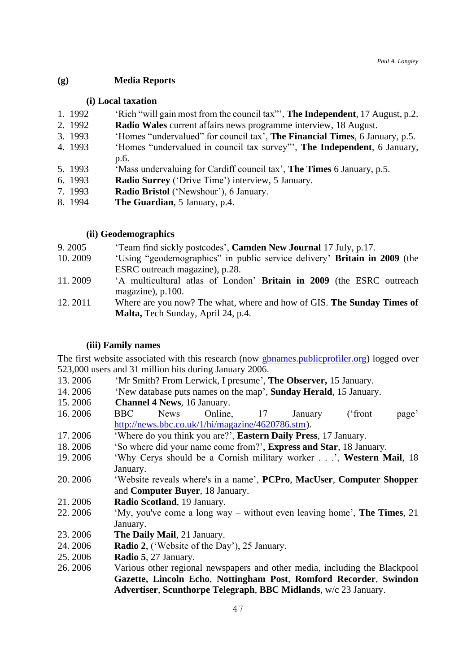# <span id="page-46-0"></span>**(g) Media Reports**

#### <span id="page-46-1"></span>**(i) Local taxation**

- 1. 1992 'Rich "will gain most from the council tax"', **The Independent**, 17 August, p.2.
- 2. 1992 **Radio Wales** current affairs news programme interview, 18 August.
- 3. 1993 'Homes "undervalued" for council tax', **The Financial Times**, 6 January, p.5.
- 4. 1993 'Homes "undervalued in council tax survey"', **The Independent**, 6 January, p.6.
- 5. 1993 'Mass undervaluing for Cardiff council tax', **The Times** 6 January, p.5.
- 6. 1993 **Radio Surrey** ('Drive Time') interview, 5 January.
- 7. 1993 **Radio Bristol** ('Newshour'), 6 January.
- 8. 1994 **The Guardian**, 5 January, p.4.

# <span id="page-46-2"></span>**(ii) Geodemographics**

- 9. 2005 'Team find sickly postcodes', **Camden New Journal** 17 July, p.17.
- 10. 2009 'Using "geodemographics" in public service delivery' **Britain in 2009** (the ESRC outreach magazine), p.28.
- 11. 2009 'A multicultural atlas of London' **Britain in 2009** (the ESRC outreach magazine), p.100.
- 12. 2011 Where are you now? The what, where and how of GIS. **The Sunday Times of Malta,** Tech Sunday, April 24, p.4.

# <span id="page-46-3"></span>**(iii) Family names**

The first website associated with this research (now gbnames.publicprofiler.org) logged over 523,000 users and 31 million hits during January 2006.

- 13. 2006 'Mr Smith? From Lerwick, I presume', **The Observer,** 15 January.
- 14. 2006 'New database puts names on the map', **Sunday Herald**, 15 January.
- 15. 2006 **Channel 4 News**, 16 January.
- 16. 2006 BBC News Online, 17 January ('front page' http://news.bbc.co.uk/1/hi/magazine/4620786.stm).
- 17. 2006 'Where do you think you are?', **Eastern Daily Press**, 17 January.
- 18. 2006 'So where did your name come from?', **Express and Star**, 18 January.
- 19. 2006 'Why Cerys should be a Cornish military worker . . .', **Western Mail**, 18 January.
- 20. 2006 'Website reveals where's in a name', **PCPro**, **MacUser**, **Computer Shopper** and **Computer Buyer**, 18 January.
- 21. 2006 **Radio Scotland**, 19 January.
- 22. 2006 'My, you've come a long way without even leaving home', **The Times**, 21 January.
- 23. 2006 **The Daily Mail**, 21 January.
- 24. 2006 **Radio 2**, ('Website of the Day'), 25 January.
- 25. 2006 **Radio 5**, 27 January.
- 26. 2006 Various other regional newspapers and other media, including the Blackpool **Gazette, Lincoln Echo**, **Nottingham Post**, **Romford Recorder**, **Swindon Advertiser**, **Scunthorpe Telegraph**, **BBC Midlands**, w/c 23 January.